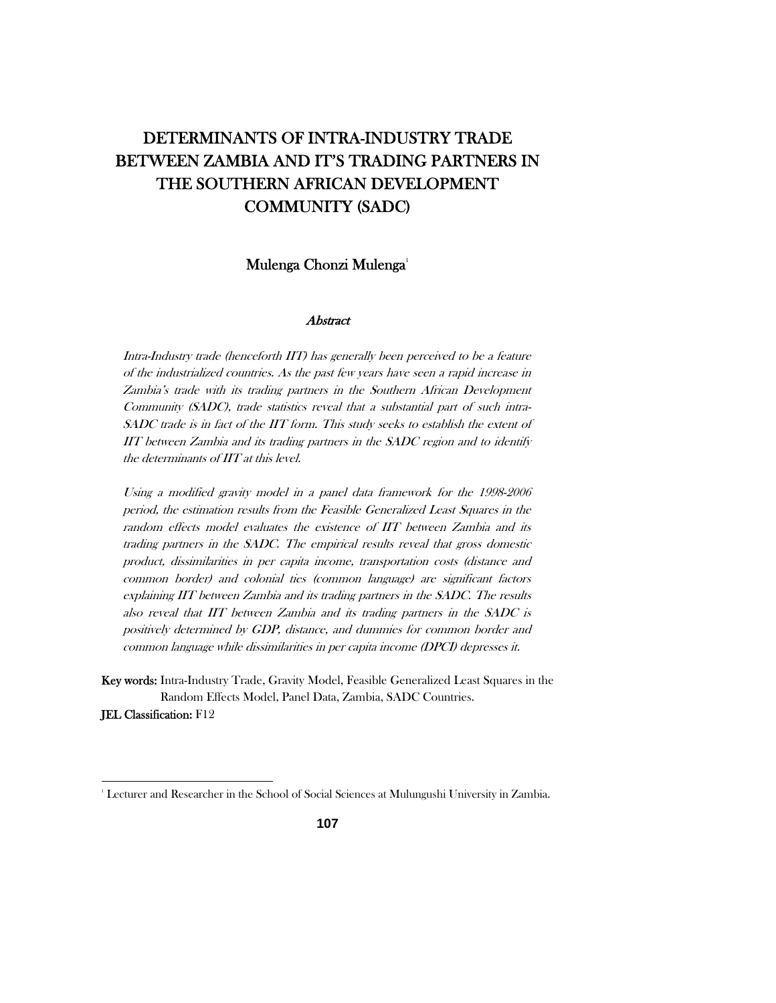# DETERMINANTS OF INTRA-INDUSTRY TRADE BETWEEN ZAMBIA AND IT'S TRADING PARTNERS IN THE SOUTHERN AFRICAN DEVELOPMENT COMMUNITY (SADC)

## Mulenga Chonzi Mulenga<sup>1</sup>

#### Abstract

Intra-Industry trade (henceforth IIT) has generally been perceived to be a feature of the industrialized countries. As the past few years have seen a rapid increase in Zambia's trade with its trading partners in the Southern African Development Community (SADC), trade statistics reveal that a substantial part of such intra-SADC trade is in fact of the IIT form. This study seeks to establish the extent of IIT between Zambia and its trading partners in the SADC region and to identify the determinants of IIT at this level.

Using a modified gravity model in a panel data framework for the 1998-2006 period, the estimation results from the Feasible Generalized Least Squares in the random effects model evaluates the existence of IIT between Zambia and its trading partners in the SADC. The empirical results reveal that gross domestic product, dissimilarities in per capita income, transportation costs (distance and common border) and colonial ties (common language) are significant factors explaining IIT between Zambia and its trading partners in the SADC. The results also reveal that IIT between Zambia and its trading partners in the SADC is positively determined by GDP, distance, and dummies for common border and common language while dissimilarities in per capita income (DPCI) depresses it.

Key words: Intra-Industry Trade, Gravity Model, Feasible Generalized Least Squares in the Random Effects Model, Panel Data, Zambia, SADC Countries. JEL Classification: F12

<sup>1</sup> Lecturer and Researcher in the School of Social Sciences at Mulungushi University in Zambia.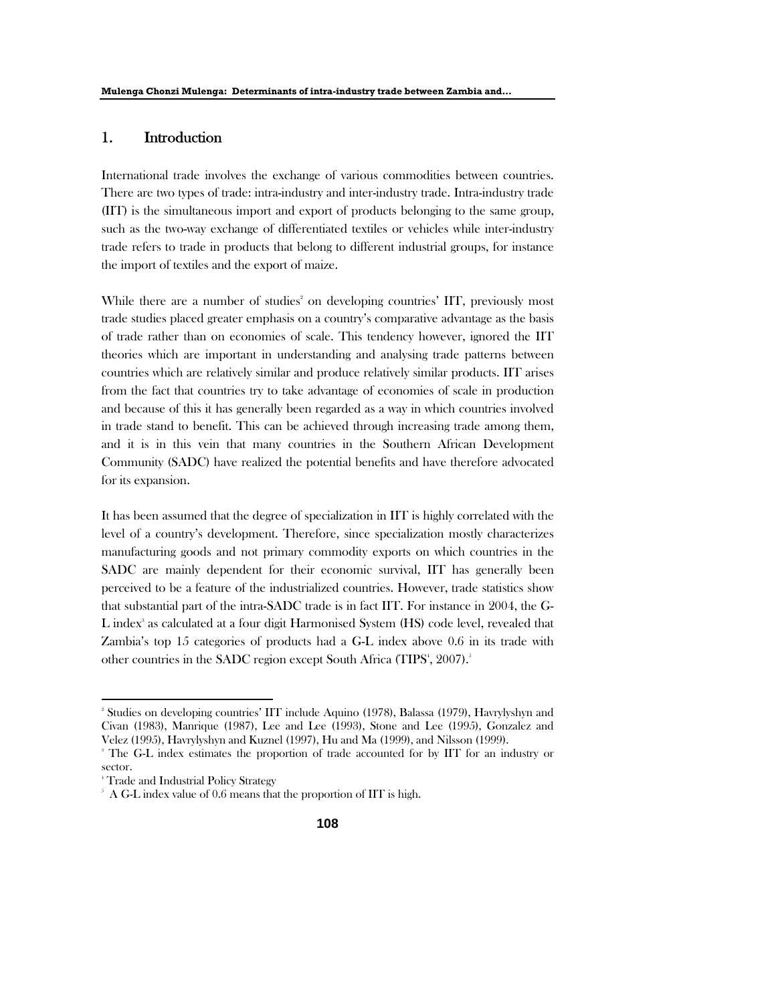## 1. Introduction

International trade involves the exchange of various commodities between countries. There are two types of trade: intra-industry and inter-industry trade. Intra-industry trade (IIT) is the simultaneous import and export of products belonging to the same group, such as the two-way exchange of differentiated textiles or vehicles while inter-industry trade refers to trade in products that belong to different industrial groups, for instance the import of textiles and the export of maize.

While there are a number of studies<sup>2</sup> on developing countries' IIT, previously most trade studies placed greater emphasis on a country's comparative advantage as the basis of trade rather than on economies of scale. This tendency however, ignored the IIT theories which are important in understanding and analysing trade patterns between countries which are relatively similar and produce relatively similar products. IIT arises from the fact that countries try to take advantage of economies of scale in production and because of this it has generally been regarded as a way in which countries involved in trade stand to benefit. This can be achieved through increasing trade among them, and it is in this vein that many countries in the Southern African Development Community (SADC) have realized the potential benefits and have therefore advocated for its expansion.

It has been assumed that the degree of specialization in IIT is highly correlated with the level of a country's development. Therefore, since specialization mostly characterizes manufacturing goods and not primary commodity exports on which countries in the SADC are mainly dependent for their economic survival, IIT has generally been perceived to be a feature of the industrialized countries. However, trade statistics show that substantial part of the intra-SADC trade is in fact IIT. For instance in 2004, the G-L index<sup>3</sup> as calculated at a four digit Harmonised System (HS) code level, revealed that Zambia's top 15 categories of products had a G-L index above 0.6 in its trade with other countries in the SADC region except South Africa (TIPS<sup>4</sup>, 2007).<sup>5</sup>

<sup>2</sup> Studies on developing countries' IIT include Aquino (1978), Balassa (1979), Havrylyshyn and Civan (1983), Manrique (1987), Lee and Lee (1993), Stone and Lee (1995), Gonzalez and Velez (1995), Havrylyshyn and Kuznel (1997), Hu and Ma (1999), and Nilsson (1999). 3

<sup>&</sup>lt;sup>3</sup> The G-L index estimates the proportion of trade accounted for by IIT for an industry or sector.

<sup>4</sup> Trade and Industrial Policy Strategy

 $\sim$  A G-L index value of 0.6 means that the proportion of IIT is high.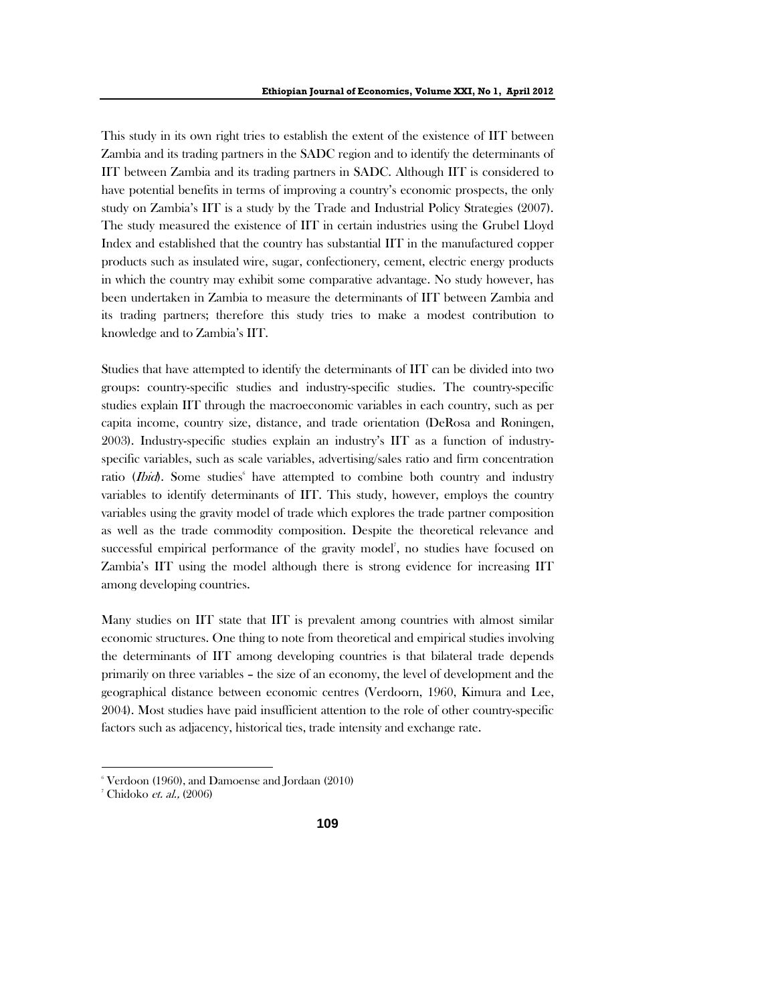This study in its own right tries to establish the extent of the existence of IIT between Zambia and its trading partners in the SADC region and to identify the determinants of IIT between Zambia and its trading partners in SADC. Although IIT is considered to have potential benefits in terms of improving a country's economic prospects, the only study on Zambia's IIT is a study by the Trade and Industrial Policy Strategies (2007). The study measured the existence of IIT in certain industries using the Grubel Lloyd Index and established that the country has substantial IIT in the manufactured copper products such as insulated wire, sugar, confectionery, cement, electric energy products in which the country may exhibit some comparative advantage. No study however, has been undertaken in Zambia to measure the determinants of IIT between Zambia and its trading partners; therefore this study tries to make a modest contribution to knowledge and to Zambia's IIT.

Studies that have attempted to identify the determinants of IIT can be divided into two groups: country-specific studies and industry-specific studies. The country-specific studies explain IIT through the macroeconomic variables in each country, such as per capita income, country size, distance, and trade orientation (DeRosa and Roningen, 2003). Industry-specific studies explain an industry's IIT as a function of industryspecific variables, such as scale variables, advertising/sales ratio and firm concentration ratio (*Ibid*). Some studies have attempted to combine both country and industry variables to identify determinants of IIT. This study, however, employs the country variables using the gravity model of trade which explores the trade partner composition as well as the trade commodity composition. Despite the theoretical relevance and successful empirical performance of the gravity model<sup>7</sup>, no studies have focused on Zambia's IIT using the model although there is strong evidence for increasing IIT among developing countries.

Many studies on IIT state that IIT is prevalent among countries with almost similar economic structures. One thing to note from theoretical and empirical studies involving the determinants of IIT among developing countries is that bilateral trade depends primarily on three variables – the size of an economy, the level of development and the geographical distance between economic centres (Verdoorn, 1960, Kimura and Lee, 2004). Most studies have paid insufficient attention to the role of other country-specific factors such as adjacency, historical ties, trade intensity and exchange rate.

 $\mathrm{^6}$  Verdoon (1960), and Damoense and Jordaan (2010)

<sup>&</sup>lt;sup>7</sup> Chidoko *et. al.,* (2006)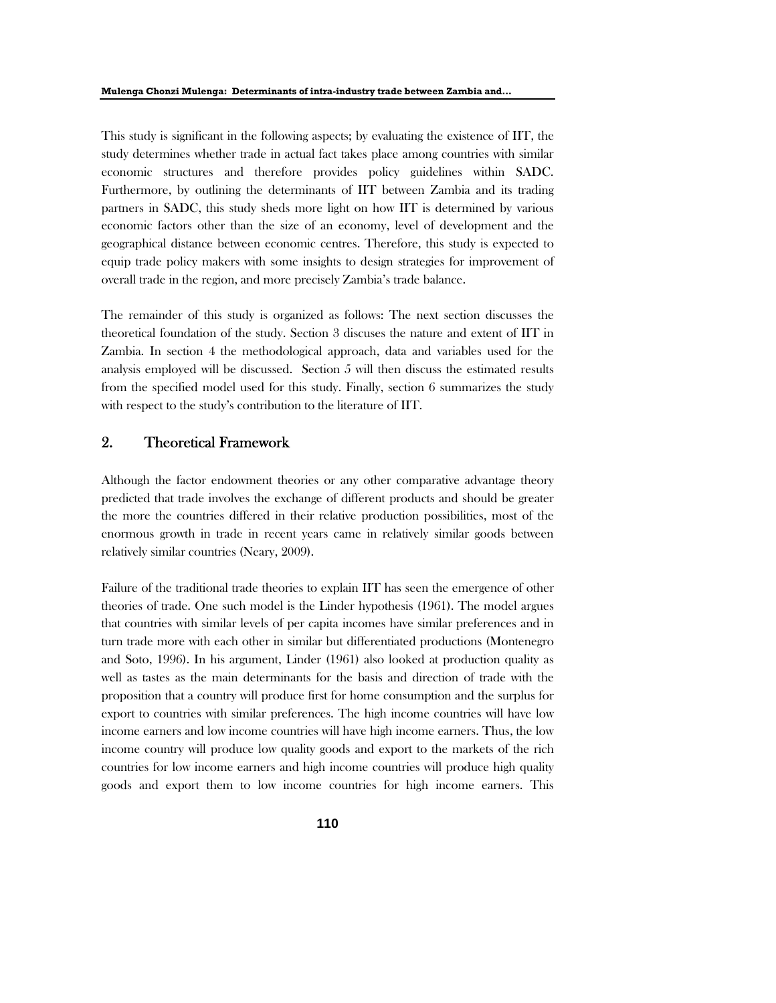This study is significant in the following aspects; by evaluating the existence of IIT, the study determines whether trade in actual fact takes place among countries with similar economic structures and therefore provides policy guidelines within SADC. Furthermore, by outlining the determinants of IIT between Zambia and its trading partners in SADC, this study sheds more light on how IIT is determined by various economic factors other than the size of an economy, level of development and the geographical distance between economic centres. Therefore, this study is expected to equip trade policy makers with some insights to design strategies for improvement of overall trade in the region, and more precisely Zambia's trade balance.

The remainder of this study is organized as follows: The next section discusses the theoretical foundation of the study. Section 3 discuses the nature and extent of IIT in Zambia. In section 4 the methodological approach, data and variables used for the analysis employed will be discussed. Section 5 will then discuss the estimated results from the specified model used for this study. Finally, section 6 summarizes the study with respect to the study's contribution to the literature of IIT.

## 2. Theoretical Framework

Although the factor endowment theories or any other comparative advantage theory predicted that trade involves the exchange of different products and should be greater the more the countries differed in their relative production possibilities, most of the enormous growth in trade in recent years came in relatively similar goods between relatively similar countries (Neary, 2009).

Failure of the traditional trade theories to explain IIT has seen the emergence of other theories of trade. One such model is the Linder hypothesis (1961). The model argues that countries with similar levels of per capita incomes have similar preferences and in turn trade more with each other in similar but differentiated productions (Montenegro and Soto, 1996). In his argument, Linder (1961) also looked at production quality as well as tastes as the main determinants for the basis and direction of trade with the proposition that a country will produce first for home consumption and the surplus for export to countries with similar preferences. The high income countries will have low income earners and low income countries will have high income earners. Thus, the low income country will produce low quality goods and export to the markets of the rich countries for low income earners and high income countries will produce high quality goods and export them to low income countries for high income earners. This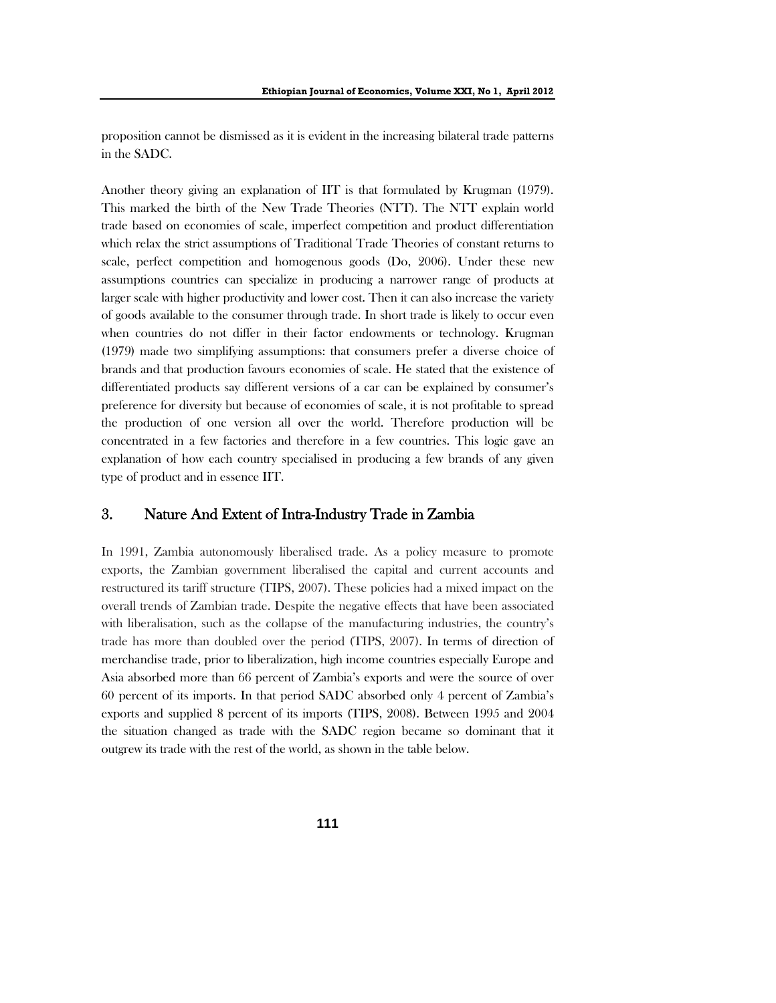proposition cannot be dismissed as it is evident in the increasing bilateral trade patterns in the SADC.

Another theory giving an explanation of IIT is that formulated by Krugman (1979). This marked the birth of the New Trade Theories (NTT). The NTT explain world trade based on economies of scale, imperfect competition and product differentiation which relax the strict assumptions of Traditional Trade Theories of constant returns to scale, perfect competition and homogenous goods (Do, 2006). Under these new assumptions countries can specialize in producing a narrower range of products at larger scale with higher productivity and lower cost. Then it can also increase the variety of goods available to the consumer through trade. In short trade is likely to occur even when countries do not differ in their factor endowments or technology. Krugman (1979) made two simplifying assumptions: that consumers prefer a diverse choice of brands and that production favours economies of scale. He stated that the existence of differentiated products say different versions of a car can be explained by consumer's preference for diversity but because of economies of scale, it is not profitable to spread the production of one version all over the world. Therefore production will be concentrated in a few factories and therefore in a few countries. This logic gave an explanation of how each country specialised in producing a few brands of any given type of product and in essence IIT.

## 3. Nature And Extent of Intra-Industry Trade in Zambia

In 1991, Zambia autonomously liberalised trade. As a policy measure to promote exports, the Zambian government liberalised the capital and current accounts and restructured its tariff structure (TIPS, 2007). These policies had a mixed impact on the overall trends of Zambian trade. Despite the negative effects that have been associated with liberalisation, such as the collapse of the manufacturing industries, the country's trade has more than doubled over the period (TIPS, 2007). In terms of direction of merchandise trade, prior to liberalization, high income countries especially Europe and Asia absorbed more than 66 percent of Zambia's exports and were the source of over 60 percent of its imports. In that period SADC absorbed only 4 percent of Zambia's exports and supplied 8 percent of its imports (TIPS, 2008). Between 1995 and 2004 the situation changed as trade with the SADC region became so dominant that it outgrew its trade with the rest of the world, as shown in the table below.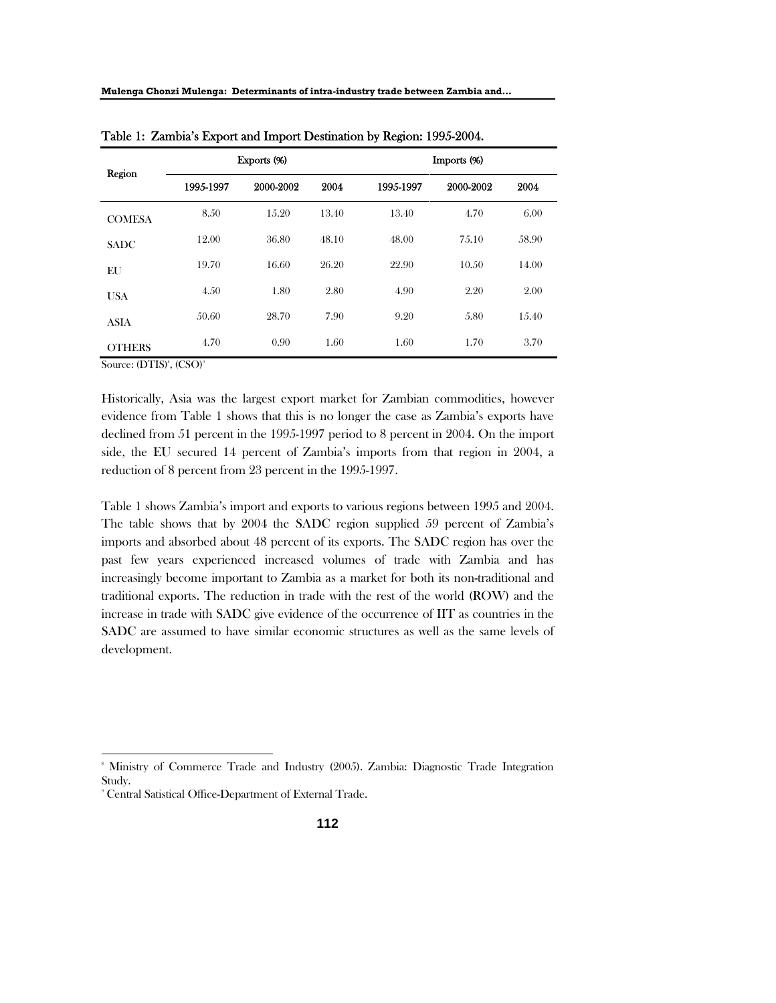| Region        |           | Exports (%) |       | Imports (%) |           |       |  |
|---------------|-----------|-------------|-------|-------------|-----------|-------|--|
|               | 1995-1997 | 2000-2002   | 2004  | 1995-1997   | 2000-2002 | 2004  |  |
| <b>COMESA</b> | 8.50      | 15.20       | 13.40 | 13.40       | 4.70      | 6.00  |  |
| <b>SADC</b>   | 12.00     | 36.80       | 48.10 | 48.00       | 7.5.10    | 58.90 |  |
| EU            | 19.70     | 16.60       | 26.20 | 22.90       | 10.50     | 14.00 |  |
| <b>USA</b>    | 4.50      | 1.80        | 2.80  | 4.90        | 2.20      | 2.00  |  |
| <b>ASIA</b>   | 50.60     | 28.70       | 7.90  | 9.20        | 5.80      | 15.40 |  |
| <b>OTHERS</b> | 4.70      | 0.90        | 1.60  | 1.60        | 1.70      | 3.70  |  |

Table 1: Zambia's Export and Import Destination by Region: 1995-2004.

Source: (DTIS)<sup>8</sup>, (CSO)<sup>9</sup>

Historically, Asia was the largest export market for Zambian commodities, however evidence from Table 1 shows that this is no longer the case as Zambia's exports have declined from 51 percent in the 1995-1997 period to 8 percent in 2004. On the import side, the EU secured 14 percent of Zambia's imports from that region in 2004, a reduction of 8 percent from 23 percent in the 1995-1997.

Table 1 shows Zambia's import and exports to various regions between 1995 and 2004. The table shows that by 2004 the SADC region supplied 59 percent of Zambia's imports and absorbed about 48 percent of its exports. The SADC region has over the past few years experienced increased volumes of trade with Zambia and has increasingly become important to Zambia as a market for both its non-traditional and traditional exports. The reduction in trade with the rest of the world (ROW) and the increase in trade with SADC give evidence of the occurrence of IIT as countries in the SADC are assumed to have similar economic structures as well as the same levels of development.

<sup>8</sup> Ministry of Commerce Trade and Industry (2005). Zambia: Diagnostic Trade Integration Study.

<sup>9</sup> Central Satistical Office-Department of External Trade.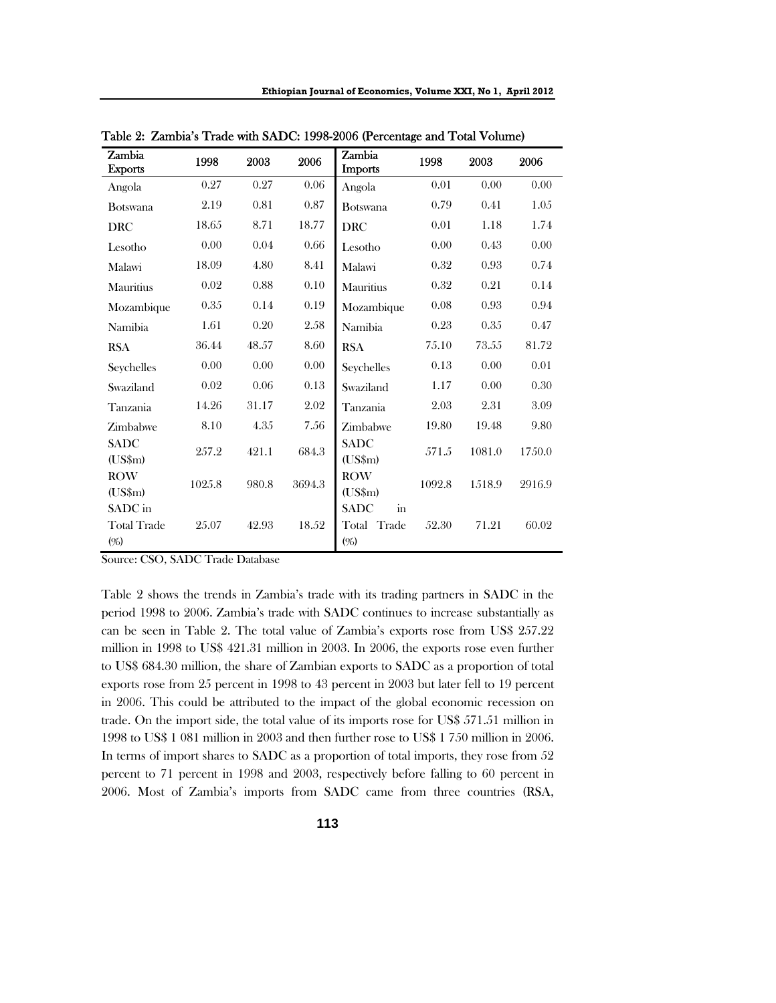| Zambia<br><b>Exports</b>             | 1998   | 2003  | 2006   | Zambia<br><b>Imports</b>                          | 1998   | 2003   | 2006   |
|--------------------------------------|--------|-------|--------|---------------------------------------------------|--------|--------|--------|
| Angola                               | 0.27   | 0.27  | 0.06   | Angola                                            | 0.01   | 0.00   | 0.00   |
| <b>B</b> otswana                     | 2.19   | 0.81  | 0.87   | <b>Botswana</b>                                   | 0.79   | 0.41   | 1.05   |
| <b>DRC</b>                           | 18.65  | 8.71  | 18.77  | <b>DRC</b>                                        | 0.01   | 1.18   | 1.74   |
| Lesotho                              | 0.00   | 0.04  | 0.66   | Lesotho                                           | 0.00   | 0.43   | 0.00   |
| Malawi                               | 18.09  | 4.80  | 8.41   | Malawi                                            | 0.32   | 0.93   | 0.74   |
| Mauritius                            | 0.02   | 0.88  | 0.10   | Mauritius                                         | 0.32   | 0.21   | 0.14   |
| Mozambique                           | 0.35   | 0.14  | 0.19   | Mozambique                                        | 0.08   | 0.93   | 0.94   |
| Namibia                              | 1.61   | 0.20  | 2.58   | Namibia                                           | 0.23   | 0.35   | 0.47   |
| <b>RSA</b>                           | 36.44  | 48.57 | 8.60   | <b>RSA</b>                                        | 75.10  | 73.55  | 81.72  |
| Seychelles                           | 0.00   | 0.00  | 0.00   | Seychelles                                        | 0.13   | 0.00   | 0.01   |
| Swaziland                            | 0.02   | 0.06  | 0.13   | Swaziland                                         | 1.17   | 0.00   | 0.30   |
| Tanzania                             | 14.26  | 31.17 | 2.02   | Tanzania                                          | 2.03   | 2.31   | 3.09   |
| Zimbabwe                             | 8.10   | 4.35  | 7.56   | Zimbabwe                                          | 19.80  | 19.48  | 9.80   |
| <b>SADC</b><br>$(US\$ m $)$          | 257.2  | 421.1 | 684.3  | SADC<br>$(US\$ m $)$                              | 571.5  | 1081.0 | 1750.0 |
| <b>ROW</b><br>$(US\$ m $)$           | 1025.8 | 980.8 | 3694.3 | <b>ROW</b><br>$(US\$ m $)$                        | 1092.8 | 1518.9 | 2916.9 |
| SADC in<br><b>Total Trade</b><br>(%) | 25.07  | 42.93 | 18.52  | SADC<br>$\operatorname{in}$<br>Total Trade<br>(%) | 52.30  | 71.21  | 60.02  |

Table 2: Zambia's Trade with SADC: 1998-2006 (Percentage and Total Volume)

Source: CSO, SADC Trade Database

Table 2 shows the trends in Zambia's trade with its trading partners in SADC in the period 1998 to 2006. Zambia's trade with SADC continues to increase substantially as can be seen in Table 2. The total value of Zambia's exports rose from US\$ 257.22 million in 1998 to US\$ 421.31 million in 2003. In 2006, the exports rose even further to US\$ 684.30 million, the share of Zambian exports to SADC as a proportion of total exports rose from 25 percent in 1998 to 43 percent in 2003 but later fell to 19 percent in 2006. This could be attributed to the impact of the global economic recession on trade. On the import side, the total value of its imports rose for US\$ 571.51 million in 1998 to US\$ 1 081 million in 2003 and then further rose to US\$ 1 750 million in 2006. In terms of import shares to SADC as a proportion of total imports, they rose from 52 percent to 71 percent in 1998 and 2003, respectively before falling to 60 percent in 2006. Most of Zambia's imports from SADC came from three countries (RSA,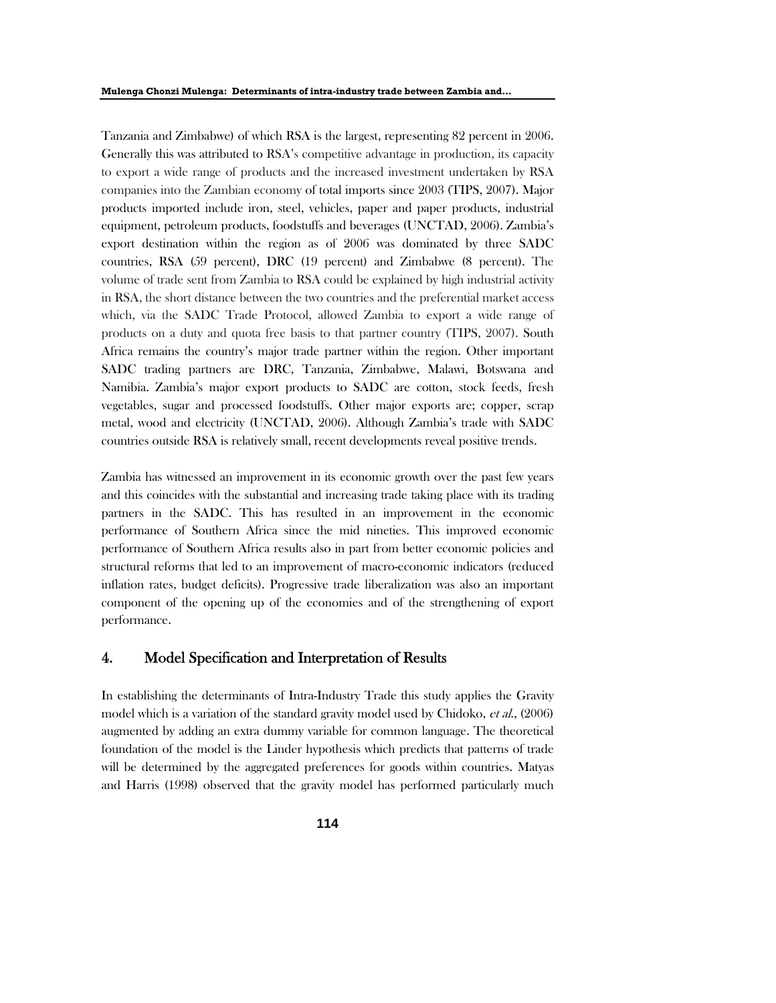Tanzania and Zimbabwe) of which RSA is the largest, representing 82 percent in 2006. Generally this was attributed to RSA's competitive advantage in production, its capacity to export a wide range of products and the increased investment undertaken by RSA companies into the Zambian economy of total imports since 2003 (TIPS, 2007). Major products imported include iron, steel, vehicles, paper and paper products, industrial equipment, petroleum products, foodstuffs and beverages (UNCTAD, 2006). Zambia's export destination within the region as of 2006 was dominated by three SADC countries, RSA (59 percent), DRC (19 percent) and Zimbabwe (8 percent). The volume of trade sent from Zambia to RSA could be explained by high industrial activity in RSA, the short distance between the two countries and the preferential market access which, via the SADC Trade Protocol, allowed Zambia to export a wide range of products on a duty and quota free basis to that partner country (TIPS, 2007). South Africa remains the country's major trade partner within the region. Other important SADC trading partners are DRC, Tanzania, Zimbabwe, Malawi, Botswana and Namibia. Zambia's major export products to SADC are cotton, stock feeds, fresh vegetables, sugar and processed foodstuffs. Other major exports are; copper, scrap metal, wood and electricity (UNCTAD, 2006). Although Zambia's trade with SADC countries outside RSA is relatively small, recent developments reveal positive trends.

Zambia has witnessed an improvement in its economic growth over the past few years and this coincides with the substantial and increasing trade taking place with its trading partners in the SADC. This has resulted in an improvement in the economic performance of Southern Africa since the mid nineties. This improved economic performance of Southern Africa results also in part from better economic policies and structural reforms that led to an improvement of macro-economic indicators (reduced inflation rates, budget deficits). Progressive trade liberalization was also an important component of the opening up of the economies and of the strengthening of export performance.

## 4. Model Specification and Interpretation of Results

In establishing the determinants of Intra-Industry Trade this study applies the Gravity model which is a variation of the standard gravity model used by Chidoko, et al., (2006) augmented by adding an extra dummy variable for common language. The theoretical foundation of the model is the Linder hypothesis which predicts that patterns of trade will be determined by the aggregated preferences for goods within countries. Matyas and Harris (1998) observed that the gravity model has performed particularly much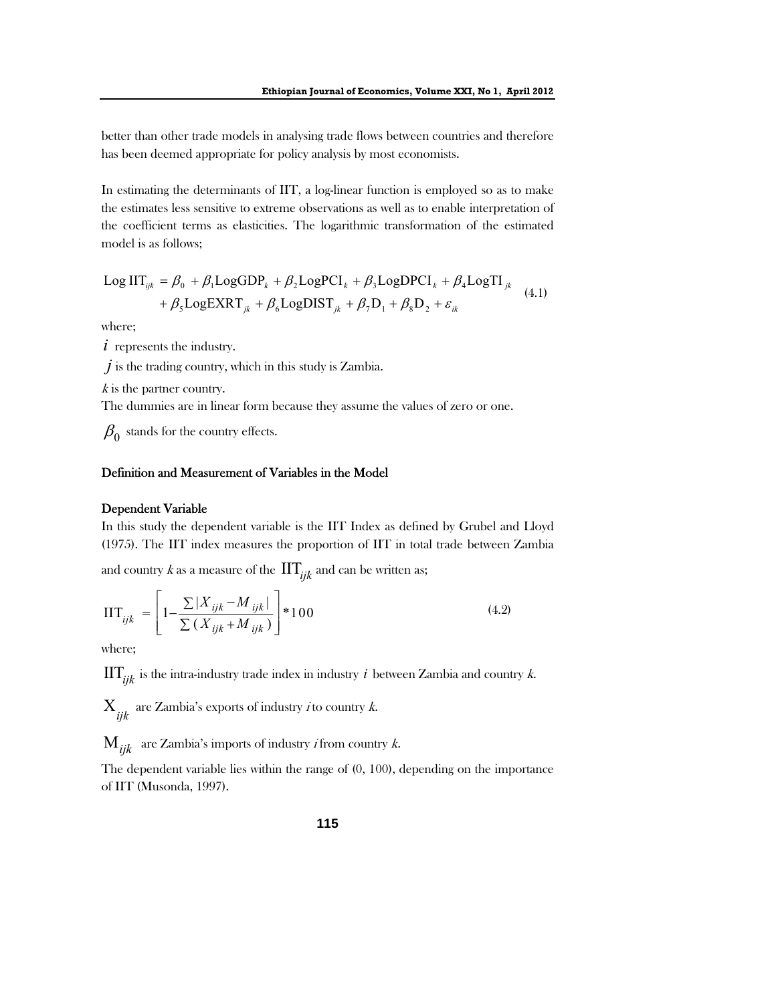better than other trade models in analysing trade flows between countries and therefore has been deemed appropriate for policy analysis by most economists.

In estimating the determinants of IIT, a log-linear function is employed so as to make the estimates less sensitive to extreme observations as well as to enable interpretation of the coefficient terms as elasticities. The logarithmic transformation of the estimated model is as follows;

$$
Log ITijk = \beta_0 + \beta_1 LogGDP_k + \beta_2 LogPCI_k + \beta_3 LogDPCI_k + \beta_4 LogTIjk
$$
  
+  $\beta_5 LogEXRT_{jk} + \beta_6 LogDIST_{jk} + \beta_7 D_1 + \beta_8 D_2 + \varepsilon_{ik}$  (4.1)

where;

*i* represents the industry.

*j* is the trading country, which in this study is Zambia.

 $k$  is the partner country.

The dummies are in linear form because they assume the values of zero or one.

 $\beta_0$  stands for the country effects.

## Definition and Measurement of Variables in the Model

### Dependent Variable

In this study the dependent variable is the IIT Index as defined by Grubel and Lloyd (1975). The IIT index measures the proportion of IIT in total trade between Zambia

and country k as a measure of the  $\mathop{\rm IT}\nolimits_{iik}$  and can be written as;

$$
\text{IIT}_{ijk} = \left[ 1 - \frac{\sum |X_{ijk} - M_{ijk}|}{\sum (X_{ijk} + M_{ijk})} \right] * 100 \tag{4.2}
$$

where;

 $\text{IIT}_{ijk}$  is the intra-industry trade index in industry *i* between Zambia and country *k*.

 $X_{ijk}$  are Zambia's exports of industry *i* to country *k*.

 $M_{ijk}$  are Zambia's imports of industry *i* from country *k*.

The dependent variable lies within the range of (0, 100), depending on the importance of IIT (Musonda, 1997).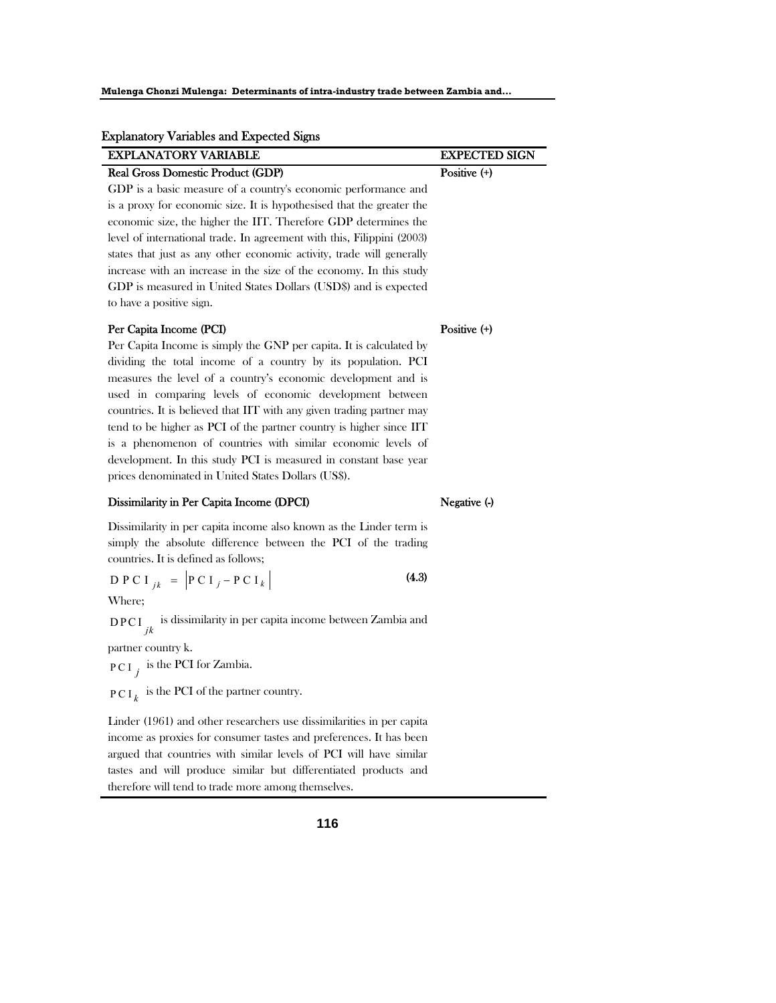| <b>Explanatory Variables and Expected Signs</b>                        |                      |
|------------------------------------------------------------------------|----------------------|
| <b>EXPLANATORY VARIABLE</b>                                            | <b>EXPECTED SIGN</b> |
| Real Gross Domestic Product (GDP)                                      | Positive $(+)$       |
| GDP is a basic measure of a country's economic performance and         |                      |
| is a proxy for economic size. It is hypothesised that the greater the  |                      |
| economic size, the higher the IIT. Therefore GDP determines the        |                      |
| level of international trade. In agreement with this, Filippini (2003) |                      |
| states that just as any other economic activity, trade will generally  |                      |
| increase with an increase in the size of the economy. In this study    |                      |

#### Per Capita Income (PCI)

to have a positive sign.

Per Capita Income is simply the GNP per capita. It is calculated by dividing the total income of a country by its population. PCI measures the level of a country's economic development and is used in comparing levels of economic development between countries. It is believed that IIT with any given trading partner may tend to be higher as PCI of the partner country is higher since IIT is a phenomenon of countries with similar economic levels of development. In this study PCI is measured in constant base year prices denominated in United States Dollars (US\$).

GDP is measured in United States Dollars (USD\$) and is expected

#### Dissimilarity in Per Capita Income (DPCI)

Dissimilarity in per capita income also known as the Linder term is simply the absolute difference between the PCI of the trading countries. It is defined as follows;

$$
D P C I_{jk} = |P C I_j - P C I_k|
$$
 (4.3)

Where;

DPCI *jk* is dissimilarity in per capita income between Zambia and

partner country k.

PCI<sub>*j*</sub> is the PCI for Zambia.

 $PCI_{k}$  is the PCI of the partner country.

Linder (1961) and other researchers use dissimilarities in per capita income as proxies for consumer tastes and preferences. It has been argued that countries with similar levels of PCI will have similar tastes and will produce similar but differentiated products and therefore will tend to trade more among themselves.

**116**

Negative (-)

## Positive (+)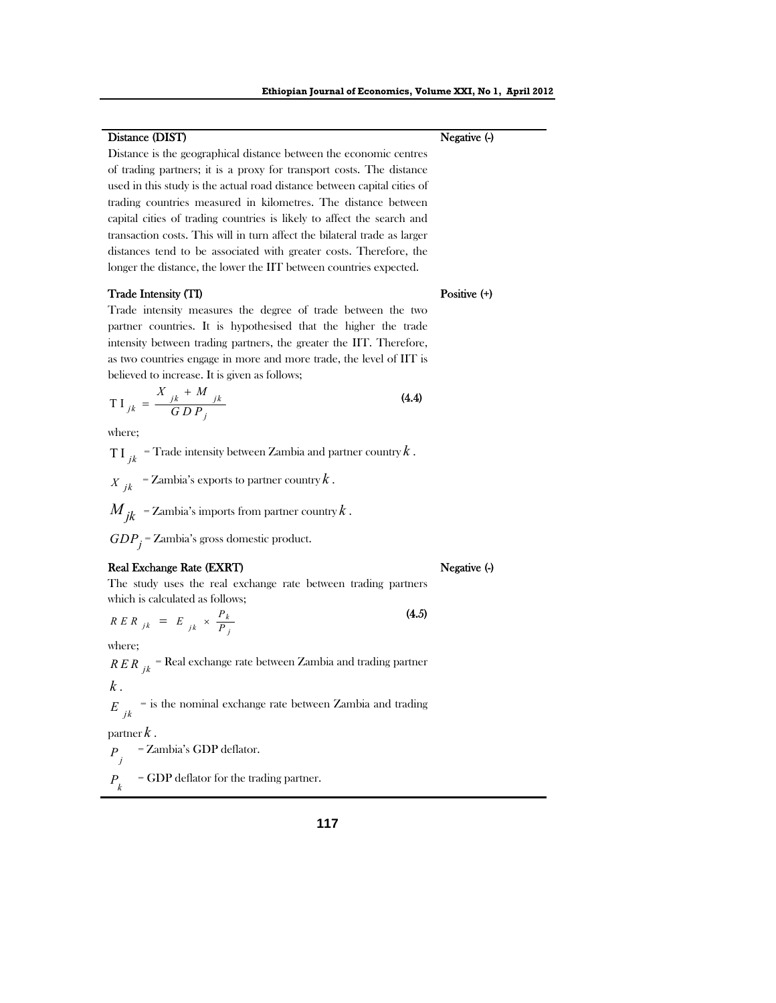Distance is the geographical distance between the economic centres of trading partners; it is a proxy for transport costs. The distance used in this study is the actual road distance between capital cities of trading countries measured in kilometres. The distance between capital cities of trading countries is likely to affect the search and transaction costs. This will in turn affect the bilateral trade as larger distances tend to be associated with greater costs. Therefore, the longer the distance, the lower the IIT between countries expected.

#### Trade Intensity (TI)

Distance (DIST)

## Trade intensity measures the degree of trade between the two partner countries. It is hypothesised that the higher the trade intensity between trading partners, the greater the IIT. Therefore, as two countries engage in more and more trade, the level of IIT is

$$
TI_{jk} = \frac{X_{jk} + M_{jk}}{GDP_j}
$$
\n(4.4)

where;

 $T I_{ijk}$  = Trade intensity between Zambia and partner country  $k$ .  $\hat{X}_{ik}$  = Zambia's exports to partner country  $k$ .  $M_{jk}$  = Zambia's imports from partner country  $k$  .

*GDPj* = Zambia's gross domestic product.

believed to increase. It is given as follows;

#### Real Exchange Rate (EXRT)

The study uses the real exchange rate between trading partners which is calculated as follows;

$$
R E R_{jk} = E_{jk} \times \frac{P_k}{P_j}
$$
 (4.5)

where;

*RER*  $_{ik}$  = Real exchange rate between Zambia and trading partner *k* .

 $E_{ijk}$  = is the nominal exchange rate between Zambia and trading

partner *k* .

 $P_{i}$ *P* = Zambia's GDP deflator.

*k P* = GDP deflator for the trading partner.

#### Negative (-)

Positive  $(+)$ 

## Negative (-)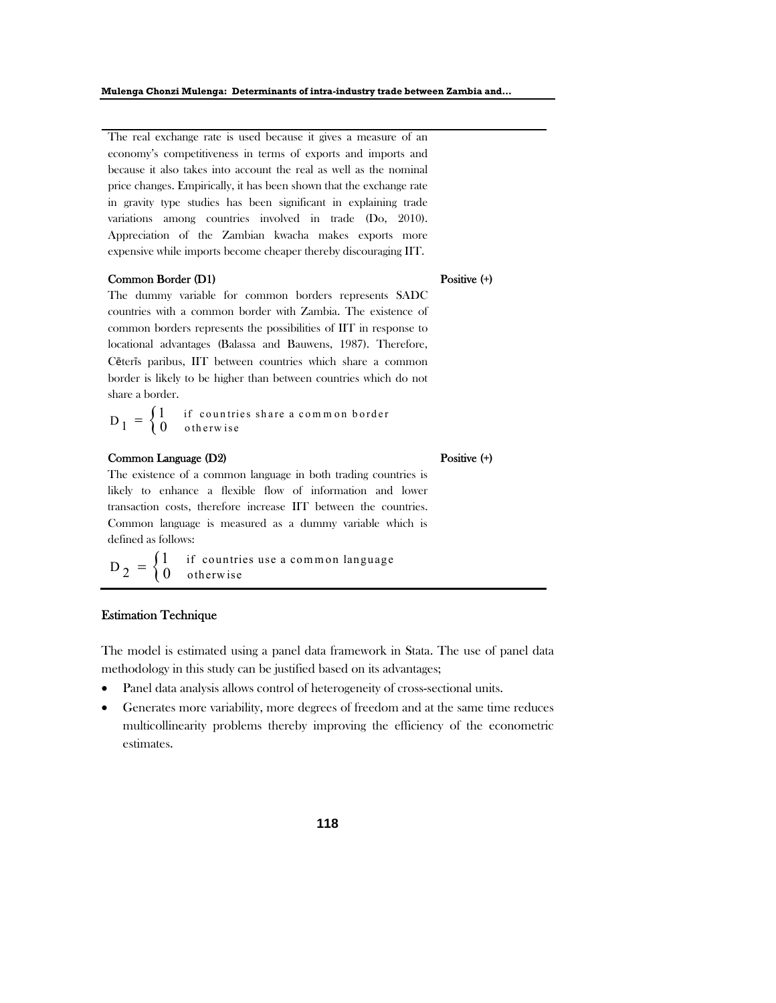The real exchange rate is used because it gives a measure of an economy's competitiveness in terms of exports and imports and because it also takes into account the real as well as the nominal price changes. Empirically, it has been shown that the exchange rate in gravity type studies has been significant in explaining trade variations among countries involved in trade (Do, 2010). Appreciation of the Zambian kwacha makes exports more expensive while imports become cheaper thereby discouraging IIT.

### Common Border (D1)

The dummy variable for common borders represents SADC countries with a common border with Zambia. The existence of common borders represents the possibilities of IIT in response to locational advantages (Balassa and Bauwens, 1987). Therefore, Cēterīs paribus, IIT between countries which share a common border is likely to be higher than between countries which do not share a border.

 $D_1 = \begin{cases} 1 & \text{if countries share a common border} \\ 0 & \text{otherwise} \end{cases}$ 

### Common Language (D2)

The existence of a common language in both trading countries is likely to enhance a flexible flow of information and lower transaction costs, therefore increase IIT between the countries. Common language is measured as a dummy variable which is defined as follows:

 $D_2 = \begin{cases} 1 & \text{if countries use a common language} \\ 0 & \text{otherwise} \end{cases}$ 

#### Estimation Technique

The model is estimated using a panel data framework in Stata. The use of panel data methodology in this study can be justified based on its advantages;

- Panel data analysis allows control of heterogeneity of cross-sectional units.
- Generates more variability, more degrees of freedom and at the same time reduces multicollinearity problems thereby improving the efficiency of the econometric estimates.

Positive  $(+)$ 

#### Positive  $(+)$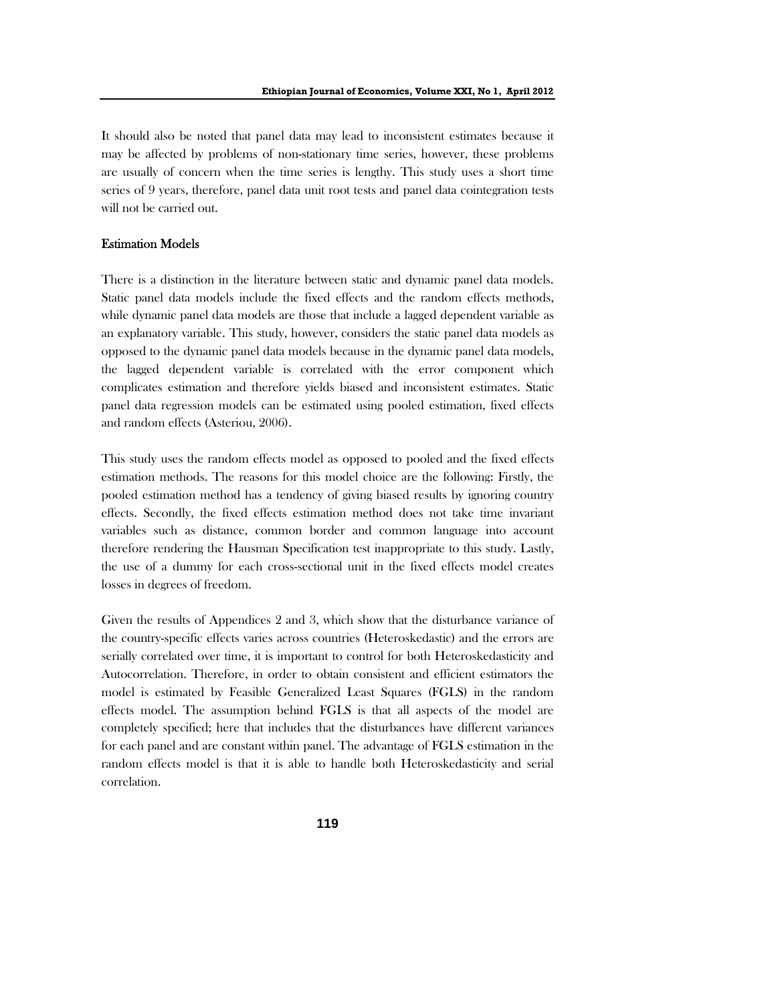It should also be noted that panel data may lead to inconsistent estimates because it may be affected by problems of non-stationary time series, however, these problems are usually of concern when the time series is lengthy. This study uses a short time series of 9 years, therefore, panel data unit root tests and panel data cointegration tests will not be carried out.

## Estimation Models

There is a distinction in the literature between static and dynamic panel data models. Static panel data models include the fixed effects and the random effects methods, while dynamic panel data models are those that include a lagged dependent variable as an explanatory variable. This study, however, considers the static panel data models as opposed to the dynamic panel data models because in the dynamic panel data models, the lagged dependent variable is correlated with the error component which complicates estimation and therefore yields biased and inconsistent estimates. Static panel data regression models can be estimated using pooled estimation, fixed effects and random effects (Asteriou, 2006).

This study uses the random effects model as opposed to pooled and the fixed effects estimation methods. The reasons for this model choice are the following: Firstly, the pooled estimation method has a tendency of giving biased results by ignoring country effects. Secondly, the fixed effects estimation method does not take time invariant variables such as distance, common border and common language into account therefore rendering the Hausman Specification test inappropriate to this study. Lastly, the use of a dummy for each cross-sectional unit in the fixed effects model creates losses in degrees of freedom.

Given the results of Appendices 2 and 3, which show that the disturbance variance of the country-specific effects varies across countries (Heteroskedastic) and the errors are serially correlated over time, it is important to control for both Heteroskedasticity and Autocorrelation. Therefore, in order to obtain consistent and efficient estimators the model is estimated by Feasible Generalized Least Squares (FGLS) in the random effects model. The assumption behind FGLS is that all aspects of the model are completely specified; here that includes that the disturbances have different variances for each panel and are constant within panel. The advantage of FGLS estimation in the random effects model is that it is able to handle both Heteroskedasticity and serial correlation.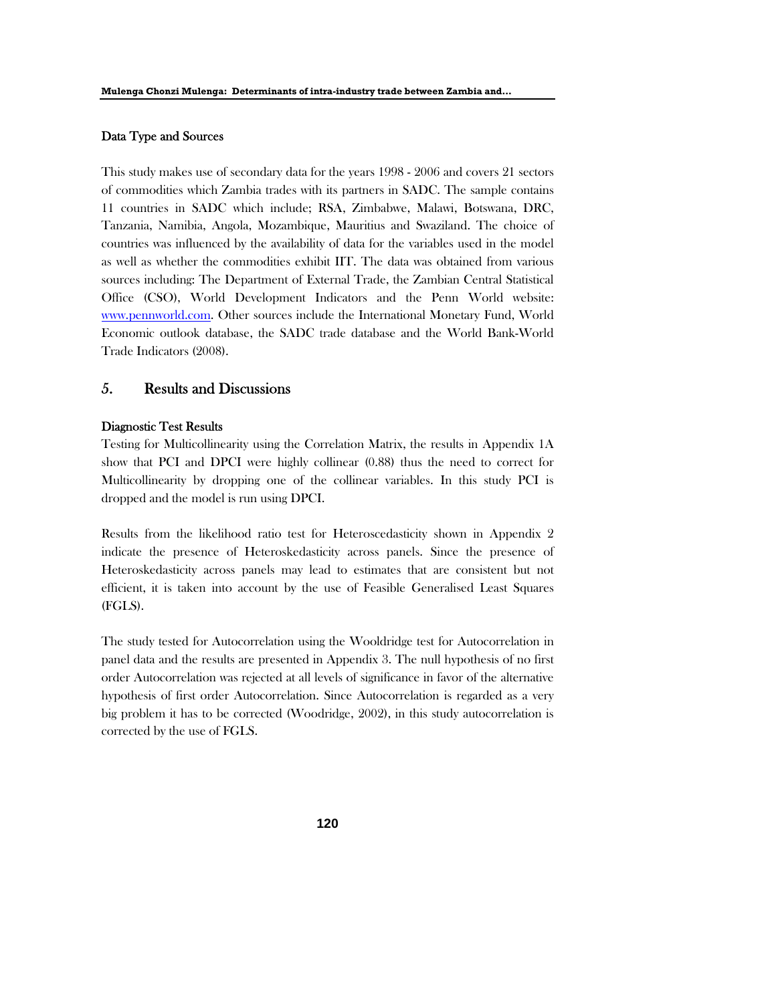### Data Type and Sources

This study makes use of secondary data for the years 1998 - 2006 and covers 21 sectors of commodities which Zambia trades with its partners in SADC. The sample contains 11 countries in SADC which include; RSA, Zimbabwe, Malawi, Botswana, DRC, Tanzania, Namibia, Angola, Mozambique, Mauritius and Swaziland. The choice of countries was influenced by the availability of data for the variables used in the model as well as whether the commodities exhibit IIT. The data was obtained from various sources including: The Department of External Trade, the Zambian Central Statistical Office (CSO), World Development Indicators and the Penn World website: www.pennworld.com. Other sources include the International Monetary Fund, World Economic outlook database, the SADC trade database and the World Bank-World Trade Indicators (2008).

## 5. Results and Discussions

### Diagnostic Test Results

Testing for Multicollinearity using the Correlation Matrix, the results in Appendix 1A show that PCI and DPCI were highly collinear (0.88) thus the need to correct for Multicollinearity by dropping one of the collinear variables. In this study PCI is dropped and the model is run using DPCI.

Results from the likelihood ratio test for Heteroscedasticity shown in Appendix 2 indicate the presence of Heteroskedasticity across panels. Since the presence of Heteroskedasticity across panels may lead to estimates that are consistent but not efficient, it is taken into account by the use of Feasible Generalised Least Squares (FGLS).

The study tested for Autocorrelation using the Wooldridge test for Autocorrelation in panel data and the results are presented in Appendix 3. The null hypothesis of no first order Autocorrelation was rejected at all levels of significance in favor of the alternative hypothesis of first order Autocorrelation. Since Autocorrelation is regarded as a very big problem it has to be corrected (Woodridge, 2002), in this study autocorrelation is corrected by the use of FGLS.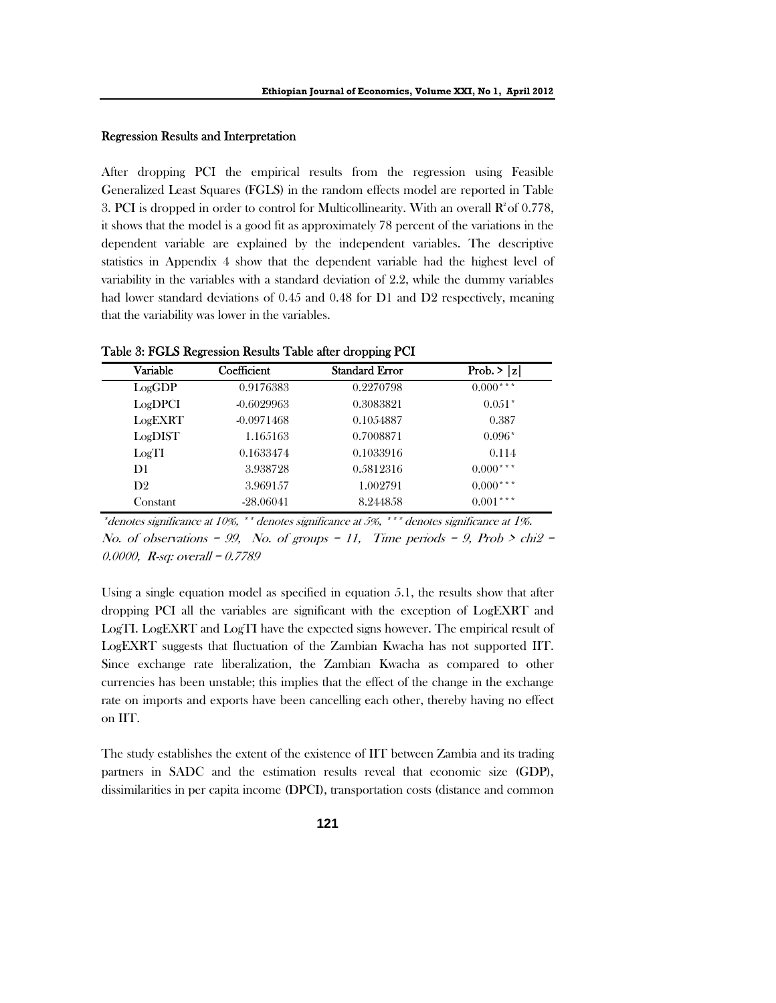#### Regression Results and Interpretation

After dropping PCI the empirical results from the regression using Feasible Generalized Least Squares (FGLS) in the random effects model are reported in Table 3. PCI is dropped in order to control for Multicollinearity. With an overall  $\mathbb{R}^2$  of 0.778, it shows that the model is a good fit as approximately 78 percent of the variations in the dependent variable are explained by the independent variables. The descriptive statistics in Appendix 4 show that the dependent variable had the highest level of variability in the variables with a standard deviation of 2.2, while the dummy variables had lower standard deviations of 0.45 and 0.48 for D1 and D2 respectively, meaning that the variability was lower in the variables.

| Variable       | Coefficient  | <b>Standard Error</b> | Prob. $>  z $ |
|----------------|--------------|-----------------------|---------------|
| LogGDP         | 0.9176383    | 0.2270798             | $0.000***$    |
| LogDPCI        | $-0.6029963$ | 0.3083821             | $0.051*$      |
| LogEXRT        | $-0.0971468$ | 0.1054887             | 0.387         |
| LogDIST        | 1.165163     | 0.7008871             | $0.096*$      |
| LogTI          | 0.1633474    | 0.1033916             | 0.114         |
| D1             | 3.938728     | 0.5812316             | $0.000***$    |
| D <sub>2</sub> | 3.969157     | 1.002791              | $0.000***$    |
| Constant       | $-28,06041$  | 8.244858              | $0.001***$    |

Table 3: FGLS Regression Results Table after dropping PCI

\*denotes significance at 10%, \*\* denotes significance at 5%, \*\*\* denotes significance at 1%. No. of observations = 99, No. of groups = 11, Time periods = 9, Prob  $>$  chi $2$  = 0.0000, R-sq: overall = 0.7789

Using a single equation model as specified in equation 5.1, the results show that after dropping PCI all the variables are significant with the exception of LogEXRT and LogTI. LogEXRT and LogTI have the expected signs however. The empirical result of LogEXRT suggests that fluctuation of the Zambian Kwacha has not supported IIT. Since exchange rate liberalization, the Zambian Kwacha as compared to other currencies has been unstable; this implies that the effect of the change in the exchange rate on imports and exports have been cancelling each other, thereby having no effect on IIT.

The study establishes the extent of the existence of IIT between Zambia and its trading partners in SADC and the estimation results reveal that economic size (GDP), dissimilarities in per capita income (DPCI), transportation costs (distance and common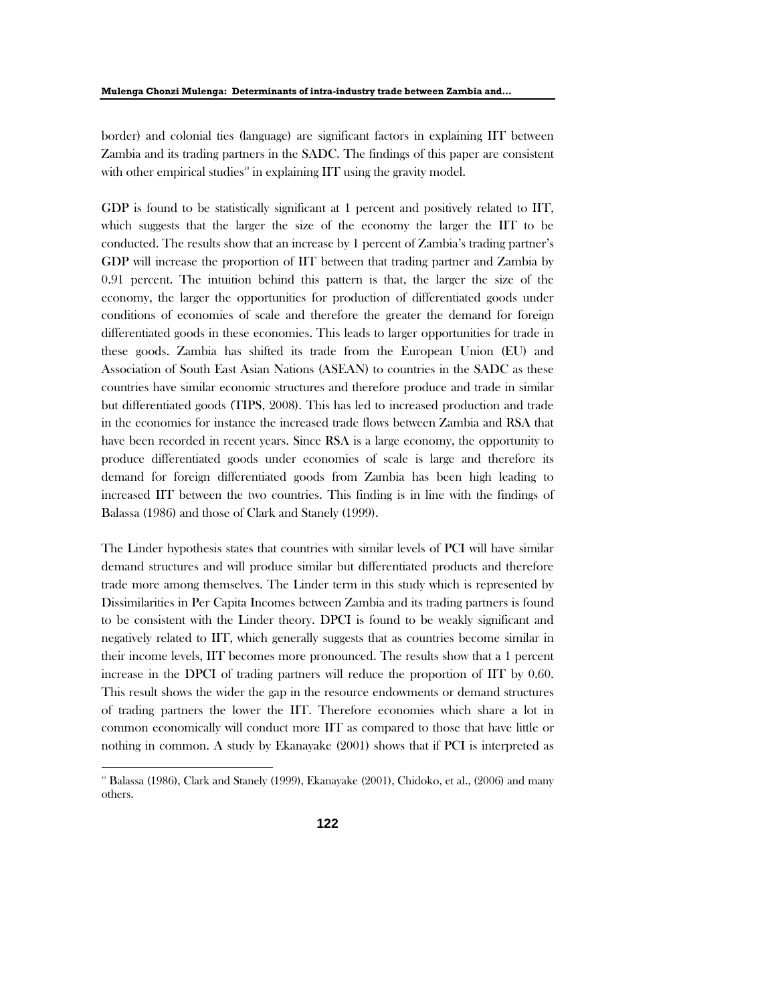border) and colonial ties (language) are significant factors in explaining IIT between Zambia and its trading partners in the SADC. The findings of this paper are consistent with other empirical studies<sup>10</sup> in explaining  $\text{IIT}$  using the gravity model.

GDP is found to be statistically significant at 1 percent and positively related to IIT, which suggests that the larger the size of the economy the larger the IIT to be conducted. The results show that an increase by 1 percent of Zambia's trading partner's GDP will increase the proportion of IIT between that trading partner and Zambia by 0.91 percent. The intuition behind this pattern is that, the larger the size of the economy, the larger the opportunities for production of differentiated goods under conditions of economies of scale and therefore the greater the demand for foreign differentiated goods in these economies. This leads to larger opportunities for trade in these goods. Zambia has shifted its trade from the European Union (EU) and Association of South East Asian Nations (ASEAN) to countries in the SADC as these countries have similar economic structures and therefore produce and trade in similar but differentiated goods (TIPS, 2008). This has led to increased production and trade in the economies for instance the increased trade flows between Zambia and RSA that have been recorded in recent years. Since RSA is a large economy, the opportunity to produce differentiated goods under economies of scale is large and therefore its demand for foreign differentiated goods from Zambia has been high leading to increased IIT between the two countries. This finding is in line with the findings of Balassa (1986) and those of Clark and Stanely (1999).

The Linder hypothesis states that countries with similar levels of PCI will have similar demand structures and will produce similar but differentiated products and therefore trade more among themselves. The Linder term in this study which is represented by Dissimilarities in Per Capita Incomes between Zambia and its trading partners is found to be consistent with the Linder theory. DPCI is found to be weakly significant and negatively related to IIT, which generally suggests that as countries become similar in their income levels, IIT becomes more pronounced. The results show that a 1 percent increase in the DPCI of trading partners will reduce the proportion of IIT by 0.60. This result shows the wider the gap in the resource endowments or demand structures of trading partners the lower the IIT. Therefore economies which share a lot in common economically will conduct more IIT as compared to those that have little or nothing in common. A study by Ekanayake (2001) shows that if PCI is interpreted as

<sup>&</sup>lt;sup>10</sup> Balassa (1986), Clark and Stanely (1999), Ekanayake (2001), Chidoko, et al., (2006) and many others.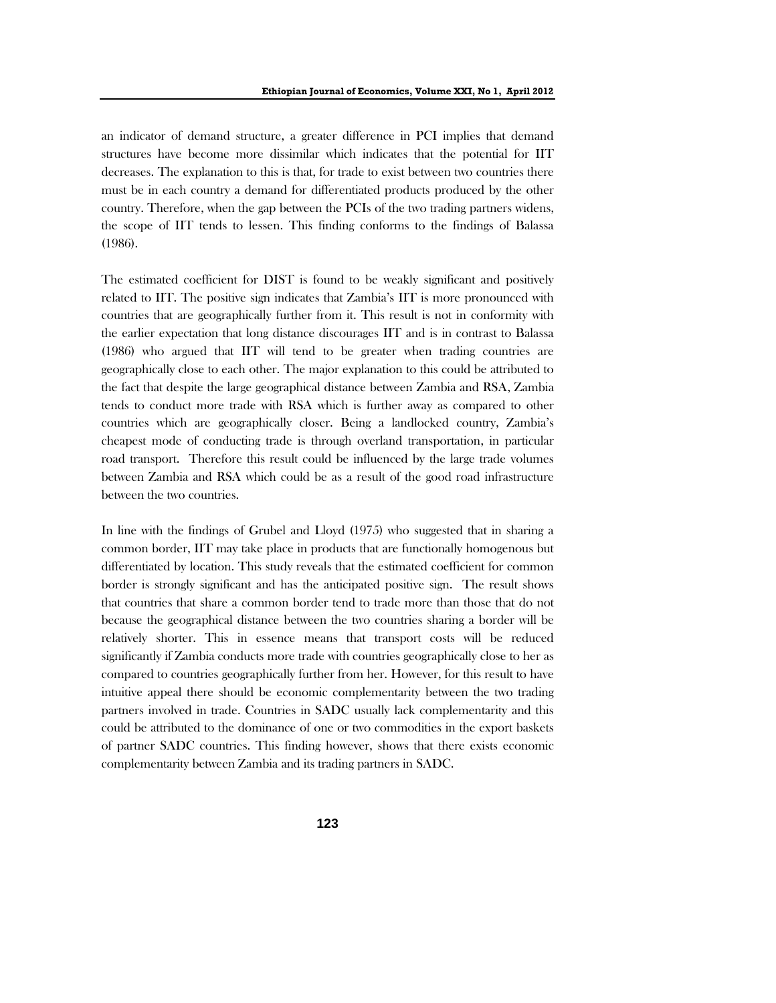an indicator of demand structure, a greater difference in PCI implies that demand structures have become more dissimilar which indicates that the potential for IIT decreases. The explanation to this is that, for trade to exist between two countries there must be in each country a demand for differentiated products produced by the other country. Therefore, when the gap between the PCIs of the two trading partners widens, the scope of IIT tends to lessen. This finding conforms to the findings of Balassa (1986).

The estimated coefficient for DIST is found to be weakly significant and positively related to IIT. The positive sign indicates that Zambia's IIT is more pronounced with countries that are geographically further from it. This result is not in conformity with the earlier expectation that long distance discourages IIT and is in contrast to Balassa (1986) who argued that IIT will tend to be greater when trading countries are geographically close to each other. The major explanation to this could be attributed to the fact that despite the large geographical distance between Zambia and RSA, Zambia tends to conduct more trade with RSA which is further away as compared to other countries which are geographically closer. Being a landlocked country, Zambia's cheapest mode of conducting trade is through overland transportation, in particular road transport. Therefore this result could be influenced by the large trade volumes between Zambia and RSA which could be as a result of the good road infrastructure between the two countries.

In line with the findings of Grubel and Lloyd (1975) who suggested that in sharing a common border, IIT may take place in products that are functionally homogenous but differentiated by location. This study reveals that the estimated coefficient for common border is strongly significant and has the anticipated positive sign. The result shows that countries that share a common border tend to trade more than those that do not because the geographical distance between the two countries sharing a border will be relatively shorter. This in essence means that transport costs will be reduced significantly if Zambia conducts more trade with countries geographically close to her as compared to countries geographically further from her. However, for this result to have intuitive appeal there should be economic complementarity between the two trading partners involved in trade. Countries in SADC usually lack complementarity and this could be attributed to the dominance of one or two commodities in the export baskets of partner SADC countries. This finding however, shows that there exists economic complementarity between Zambia and its trading partners in SADC.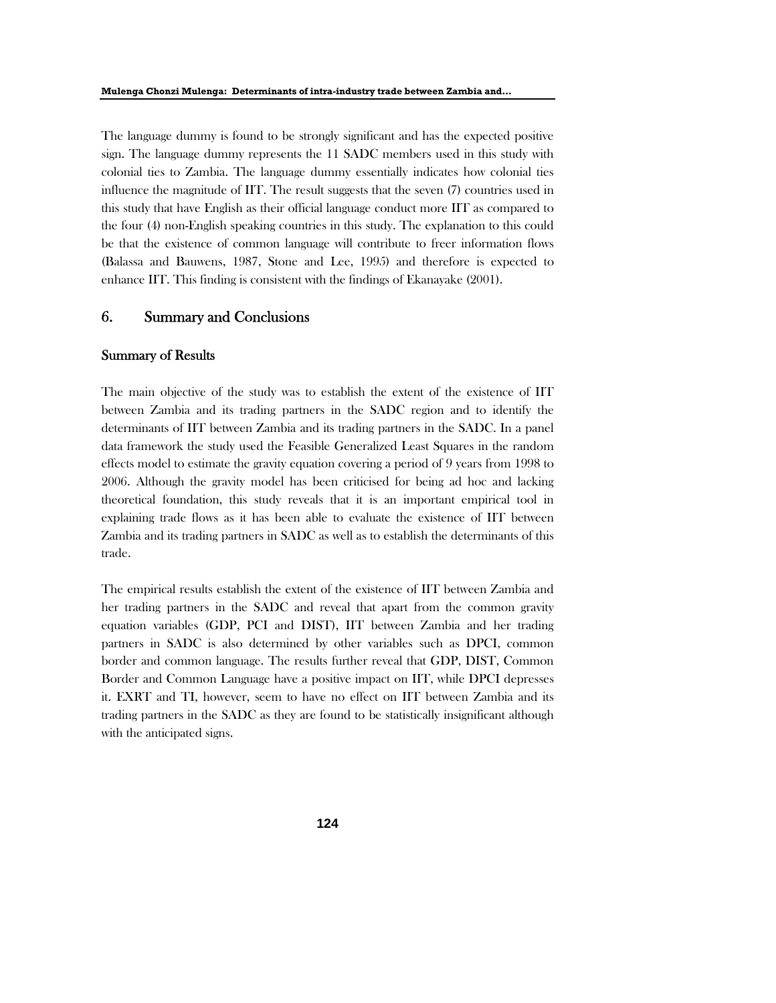The language dummy is found to be strongly significant and has the expected positive sign. The language dummy represents the 11 SADC members used in this study with colonial ties to Zambia. The language dummy essentially indicates how colonial ties influence the magnitude of IIT. The result suggests that the seven (7) countries used in this study that have English as their official language conduct more IIT as compared to the four (4) non-English speaking countries in this study. The explanation to this could be that the existence of common language will contribute to freer information flows (Balassa and Bauwens, 1987, Stone and Lee, 1995) and therefore is expected to enhance IIT. This finding is consistent with the findings of Ekanayake (2001).

### 6. Summary and Conclusions

### Summary of Results

The main objective of the study was to establish the extent of the existence of IIT between Zambia and its trading partners in the SADC region and to identify the determinants of IIT between Zambia and its trading partners in the SADC. In a panel data framework the study used the Feasible Generalized Least Squares in the random effects model to estimate the gravity equation covering a period of 9 years from 1998 to 2006. Although the gravity model has been criticised for being ad hoc and lacking theoretical foundation, this study reveals that it is an important empirical tool in explaining trade flows as it has been able to evaluate the existence of IIT between Zambia and its trading partners in SADC as well as to establish the determinants of this trade.

The empirical results establish the extent of the existence of IIT between Zambia and her trading partners in the SADC and reveal that apart from the common gravity equation variables (GDP, PCI and DIST), IIT between Zambia and her trading partners in SADC is also determined by other variables such as DPCI, common border and common language. The results further reveal that GDP, DIST, Common Border and Common Language have a positive impact on IIT, while DPCI depresses it. EXRT and TI, however, seem to have no effect on IIT between Zambia and its trading partners in the SADC as they are found to be statistically insignificant although with the anticipated signs.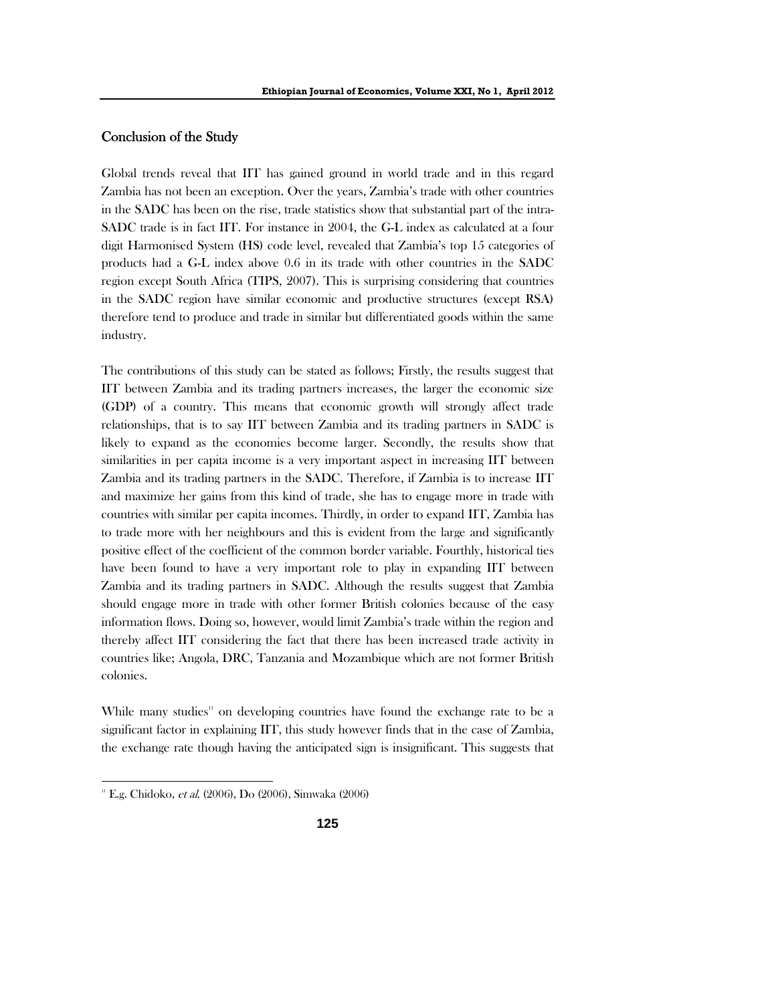## Conclusion of the Study

Global trends reveal that IIT has gained ground in world trade and in this regard Zambia has not been an exception. Over the years, Zambia's trade with other countries in the SADC has been on the rise, trade statistics show that substantial part of the intra-SADC trade is in fact IIT. For instance in 2004, the G-L index as calculated at a four digit Harmonised System (HS) code level, revealed that Zambia's top 15 categories of products had a G-L index above 0.6 in its trade with other countries in the SADC region except South Africa (TIPS, 2007). This is surprising considering that countries in the SADC region have similar economic and productive structures (except RSA) therefore tend to produce and trade in similar but differentiated goods within the same industry.

The contributions of this study can be stated as follows; Firstly, the results suggest that IIT between Zambia and its trading partners increases, the larger the economic size (GDP) of a country. This means that economic growth will strongly affect trade relationships, that is to say IIT between Zambia and its trading partners in SADC is likely to expand as the economies become larger. Secondly, the results show that similarities in per capita income is a very important aspect in increasing IIT between Zambia and its trading partners in the SADC. Therefore, if Zambia is to increase IIT and maximize her gains from this kind of trade, she has to engage more in trade with countries with similar per capita incomes. Thirdly, in order to expand IIT, Zambia has to trade more with her neighbours and this is evident from the large and significantly positive effect of the coefficient of the common border variable. Fourthly, historical ties have been found to have a very important role to play in expanding IIT between Zambia and its trading partners in SADC. Although the results suggest that Zambia should engage more in trade with other former British colonies because of the easy information flows. Doing so, however, would limit Zambia's trade within the region and thereby affect IIT considering the fact that there has been increased trade activity in countries like; Angola, DRC, Tanzania and Mozambique which are not former British colonies.

While many studies<sup>11</sup> on developing countries have found the exchange rate to be a significant factor in explaining IIT, this study however finds that in the case of Zambia, the exchange rate though having the anticipated sign is insignificant. This suggests that

<sup>&</sup>lt;sup>11</sup> E.g. Chidoko, et al. (2006), Do (2006), Simwaka (2006)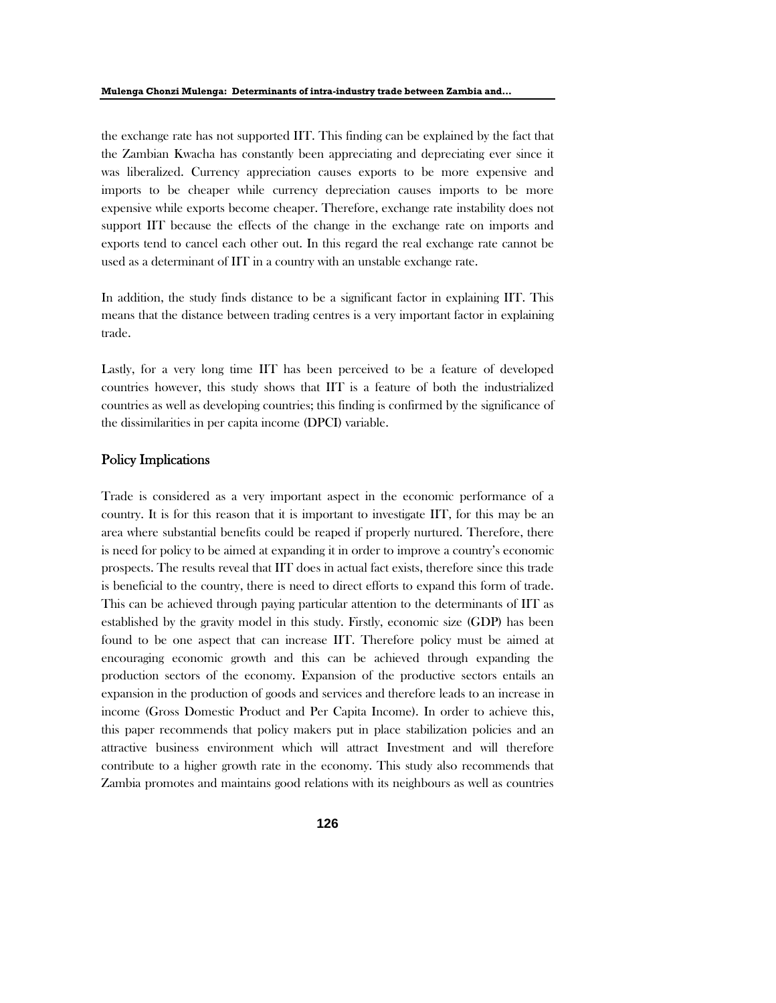the exchange rate has not supported IIT. This finding can be explained by the fact that the Zambian Kwacha has constantly been appreciating and depreciating ever since it was liberalized. Currency appreciation causes exports to be more expensive and imports to be cheaper while currency depreciation causes imports to be more expensive while exports become cheaper. Therefore, exchange rate instability does not support IIT because the effects of the change in the exchange rate on imports and exports tend to cancel each other out. In this regard the real exchange rate cannot be used as a determinant of IIT in a country with an unstable exchange rate.

In addition, the study finds distance to be a significant factor in explaining IIT. This means that the distance between trading centres is a very important factor in explaining trade.

Lastly, for a very long time IIT has been perceived to be a feature of developed countries however, this study shows that IIT is a feature of both the industrialized countries as well as developing countries; this finding is confirmed by the significance of the dissimilarities in per capita income (DPCI) variable.

## Policy Implications

Trade is considered as a very important aspect in the economic performance of a country. It is for this reason that it is important to investigate IIT, for this may be an area where substantial benefits could be reaped if properly nurtured. Therefore, there is need for policy to be aimed at expanding it in order to improve a country's economic prospects. The results reveal that IIT does in actual fact exists, therefore since this trade is beneficial to the country, there is need to direct efforts to expand this form of trade. This can be achieved through paying particular attention to the determinants of IIT as established by the gravity model in this study. Firstly, economic size (GDP) has been found to be one aspect that can increase IIT. Therefore policy must be aimed at encouraging economic growth and this can be achieved through expanding the production sectors of the economy. Expansion of the productive sectors entails an expansion in the production of goods and services and therefore leads to an increase in income (Gross Domestic Product and Per Capita Income). In order to achieve this, this paper recommends that policy makers put in place stabilization policies and an attractive business environment which will attract Investment and will therefore contribute to a higher growth rate in the economy. This study also recommends that Zambia promotes and maintains good relations with its neighbours as well as countries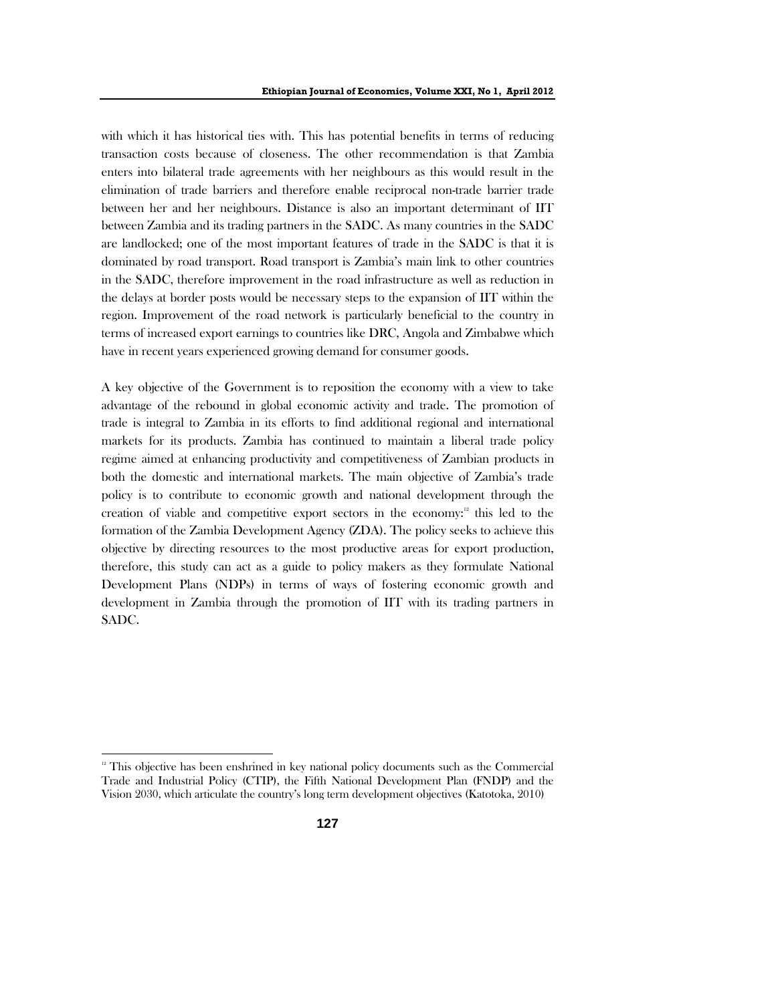with which it has historical ties with. This has potential benefits in terms of reducing transaction costs because of closeness. The other recommendation is that Zambia enters into bilateral trade agreements with her neighbours as this would result in the elimination of trade barriers and therefore enable reciprocal non-trade barrier trade between her and her neighbours. Distance is also an important determinant of IIT between Zambia and its trading partners in the SADC. As many countries in the SADC are landlocked; one of the most important features of trade in the SADC is that it is dominated by road transport. Road transport is Zambia's main link to other countries in the SADC, therefore improvement in the road infrastructure as well as reduction in the delays at border posts would be necessary steps to the expansion of IIT within the region. Improvement of the road network is particularly beneficial to the country in terms of increased export earnings to countries like DRC, Angola and Zimbabwe which have in recent years experienced growing demand for consumer goods.

A key objective of the Government is to reposition the economy with a view to take advantage of the rebound in global economic activity and trade. The promotion of trade is integral to Zambia in its efforts to find additional regional and international markets for its products. Zambia has continued to maintain a liberal trade policy regime aimed at enhancing productivity and competitiveness of Zambian products in both the domestic and international markets. The main objective of Zambia's trade policy is to contribute to economic growth and national development through the creation of viable and competitive export sectors in the economy: $12$  this led to the formation of the Zambia Development Agency (ZDA). The policy seeks to achieve this objective by directing resources to the most productive areas for export production, therefore, this study can act as a guide to policy makers as they formulate National Development Plans (NDPs) in terms of ways of fostering economic growth and development in Zambia through the promotion of IIT with its trading partners in SADC.

 $12$  This objective has been enshrined in key national policy documents such as the Commercial Trade and Industrial Policy (CTIP), the Fifth National Development Plan (FNDP) and the Vision 2030, which articulate the country's long term development objectives (Katotoka, 2010)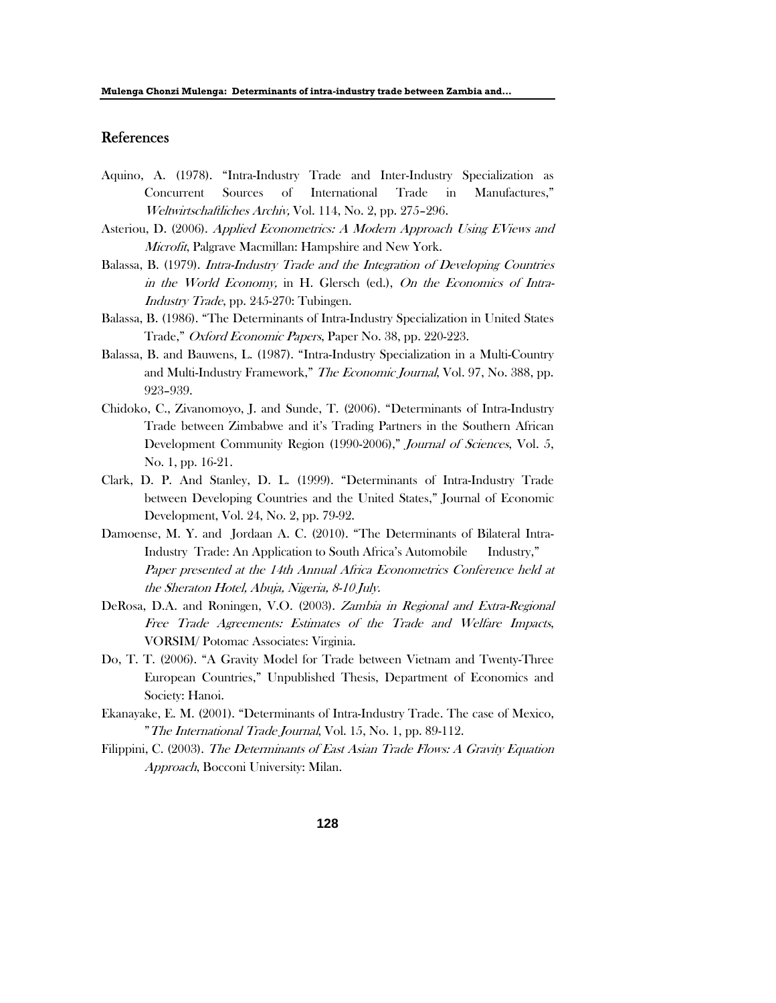### References

- Aquino, A. (1978). "Intra-Industry Trade and Inter-Industry Specialization as Concurrent Sources of International Trade in Manufactures," Weltwirtschaftliches Archiv, Vol. 114, No. 2, pp. 275–296.
- Asteriou, D. (2006). Applied Econometrics: A Modern Approach Using EViews and Microfit, Palgrave Macmillan: Hampshire and New York.
- Balassa, B. (1979). Intra-Industry Trade and the Integration of Developing Countries in the World Economy, in H. Glersch (ed.), On the Economics of Intra-Industry Trade, pp. 245-270: Tubingen.
- Balassa, B. (1986). "The Determinants of Intra-Industry Specialization in United States Trade," Oxford Economic Papers, Paper No. 38, pp. 220-223.
- Balassa, B. and Bauwens, L. (1987). "Intra-Industry Specialization in a Multi-Country and Multi-Industry Framework," The Economic Journal, Vol. 97, No. 388, pp. 923–939.
- Chidoko, C., Zivanomoyo, J. and Sunde, T. (2006). "Determinants of Intra-Industry Trade between Zimbabwe and it's Trading Partners in the Southern African Development Community Region (1990-2006)," Journal of Sciences, Vol. 5, No. 1, pp. 16-21.
- Clark, D. P. And Stanley, D. L. (1999). "Determinants of Intra-Industry Trade between Developing Countries and the United States," Journal of Economic Development, Vol. 24, No. 2, pp. 79-92.
- Damoense, M. Y. and Jordaan A. C. (2010). "The Determinants of Bilateral Intra-Industry Trade: An Application to South Africa's Automobile Industry," Paper presented at the 14th Annual Africa Econometrics Conference held at the Sheraton Hotel, Abuja, Nigeria, 8-10 July.
- DeRosa, D.A. and Roningen, V.O. (2003). Zambia in Regional and Extra-Regional Free Trade Agreements: Estimates of the Trade and Welfare Impacts, VORSIM/ Potomac Associates: Virginia.
- Do, T. T. (2006). "A Gravity Model for Trade between Vietnam and Twenty-Three European Countries," Unpublished Thesis, Department of Economics and Society: Hanoi.
- Ekanayake, E. M. (2001). "Determinants of Intra-Industry Trade. The case of Mexico, "The International Trade Journal, Vol. 15, No. 1, pp. 89-112.
- Filippini, C. (2003). The Determinants of East Asian Trade Flows: A Gravity Equation Approach, Bocconi University: Milan.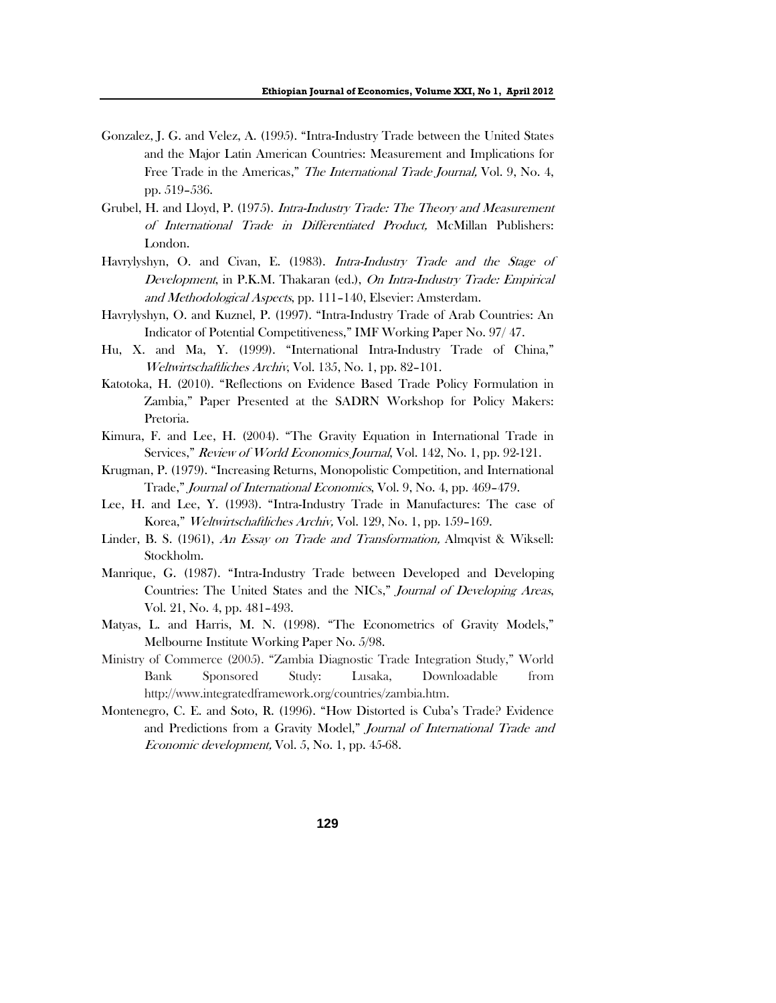- Gonzalez, J. G. and Velez, A. (1995). "Intra-Industry Trade between the United States and the Major Latin American Countries: Measurement and Implications for Free Trade in the Americas," The International Trade Journal, Vol. 9, No. 4, pp. 519–536.
- Grubel, H. and Lloyd, P. (1975). *Intra-Industry Trade: The Theory and Measurement* of International Trade in Differentiated Product, McMillan Publishers: London.
- Havrylyshyn, O. and Civan, E. (1983). *Intra-Industry Trade and the Stage of* Development, in P.K.M. Thakaran (ed.), On Intra-Industry Trade: Empirical and Methodological Aspects, pp. 111–140, Elsevier: Amsterdam.
- Havrylyshyn, O. and Kuznel, P. (1997). "Intra-Industry Trade of Arab Countries: An Indicator of Potential Competitiveness," IMF Working Paper No. 97/ 47.
- Hu, X. and Ma, Y. (1999). "International Intra-Industry Trade of China," Weltwirtschaftliches Archiv, Vol. 135, No. 1, pp. 82–101.
- Katotoka, H. (2010). "Reflections on Evidence Based Trade Policy Formulation in Zambia," Paper Presented at the SADRN Workshop for Policy Makers: Pretoria.
- Kimura, F. and Lee, H. (2004). "The Gravity Equation in International Trade in Services," Review of World Economics Journal, Vol. 142, No. 1, pp. 92-121.
- Krugman, P. (1979). "Increasing Returns, Monopolistic Competition, and International Trade," Journal of International Economics, Vol. 9, No. 4, pp. 469–479.
- Lee, H. and Lee, Y. (1993). "Intra-Industry Trade in Manufactures: The case of Korea," Weltwirtschaftliches Archiv, Vol. 129, No. 1, pp. 159-169.
- Linder, B. S. (1961), An Essay on Trade and Transformation, Almqvist & Wiksell: Stockholm.
- Manrique, G. (1987). "Intra-Industry Trade between Developed and Developing Countries: The United States and the NICs," Journal of Developing Areas, Vol. 21, No. 4, pp. 481–493.
- Matyas, L. and Harris, M. N. (1998). "The Econometrics of Gravity Models," Melbourne Institute Working Paper No. 5/98.
- Ministry of Commerce (2005). "Zambia Diagnostic Trade Integration Study," World Bank Sponsored Study: Lusaka, Downloadable from http://www.integratedframework.org/countries/zambia.htm.
- Montenegro, C. E. and Soto, R. (1996). "How Distorted is Cuba's Trade? Evidence and Predictions from a Gravity Model," Journal of International Trade and Economic development, Vol. 5, No. 1, pp. 45-68.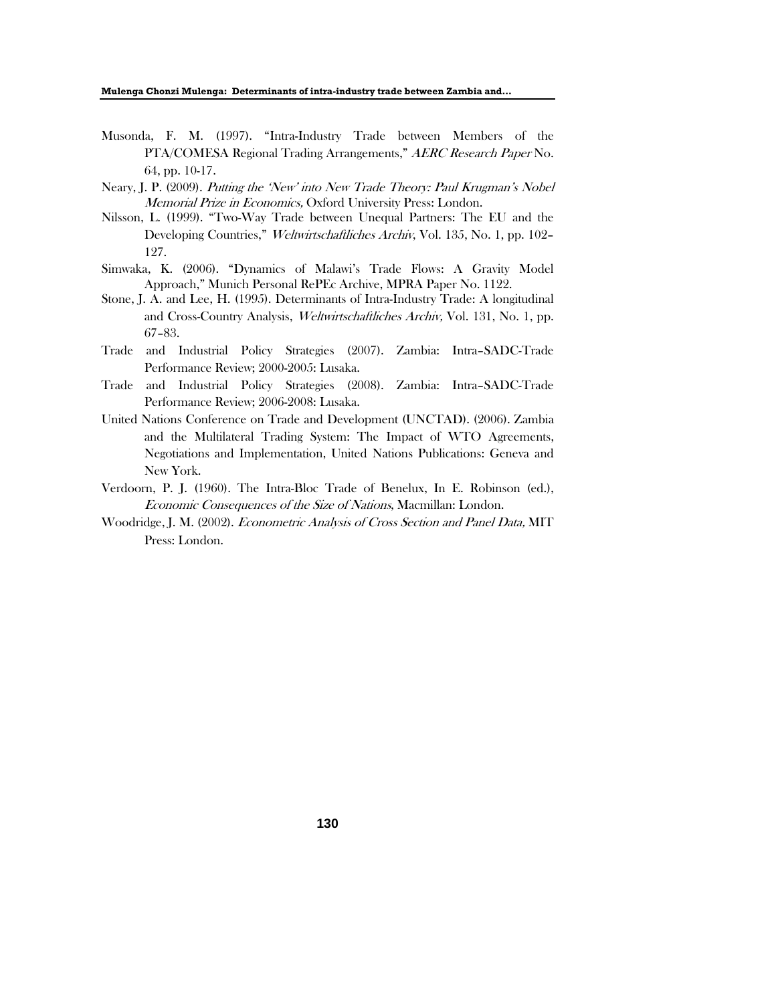**Mulenga Chonzi Mulenga: Determinants of intra-industry trade between Zambia and…** 

- Musonda, F. M. (1997). "Intra-Industry Trade between Members of the PTA/COMESA Regional Trading Arrangements," AERC Research Paper No. 64, pp. 10-17.
- Neary, J. P. (2009). Putting the 'New' into New Trade Theory: Paul Krugman's Nobel Memorial Prize in Economics, Oxford University Press: London.
- Nilsson, L. (1999). "Two-Way Trade between Unequal Partners: The EU and the Developing Countries," Weltwirtschaftliches Archiv, Vol. 135, No. 1, pp. 102– 127.
- Simwaka, K. (2006). "Dynamics of Malawi's Trade Flows: A Gravity Model Approach," Munich Personal RePEc Archive, MPRA Paper No. 1122.
- Stone, J. A. and Lee, H. (1995). Determinants of Intra-Industry Trade: A longitudinal and Cross-Country Analysis, Weltwirtschaftliches Archiv, Vol. 131, No. 1, pp. 67–83.
- Trade and Industrial Policy Strategies (2007). Zambia: Intra–SADC-Trade Performance Review; 2000-2005: Lusaka.
- Trade and Industrial Policy Strategies (2008). Zambia: Intra–SADC-Trade Performance Review; 2006-2008: Lusaka.
- United Nations Conference on Trade and Development (UNCTAD). (2006). Zambia and the Multilateral Trading System: The Impact of WTO Agreements, Negotiations and Implementation, United Nations Publications: Geneva and New York.
- Verdoorn, P. J. (1960). The Intra-Bloc Trade of Benelux, In E. Robinson (ed.), Economic Consequences of the Size of Nations, Macmillan: London.
- Woodridge, J. M. (2002). Econometric Analysis of Cross Section and Panel Data, MIT Press: London.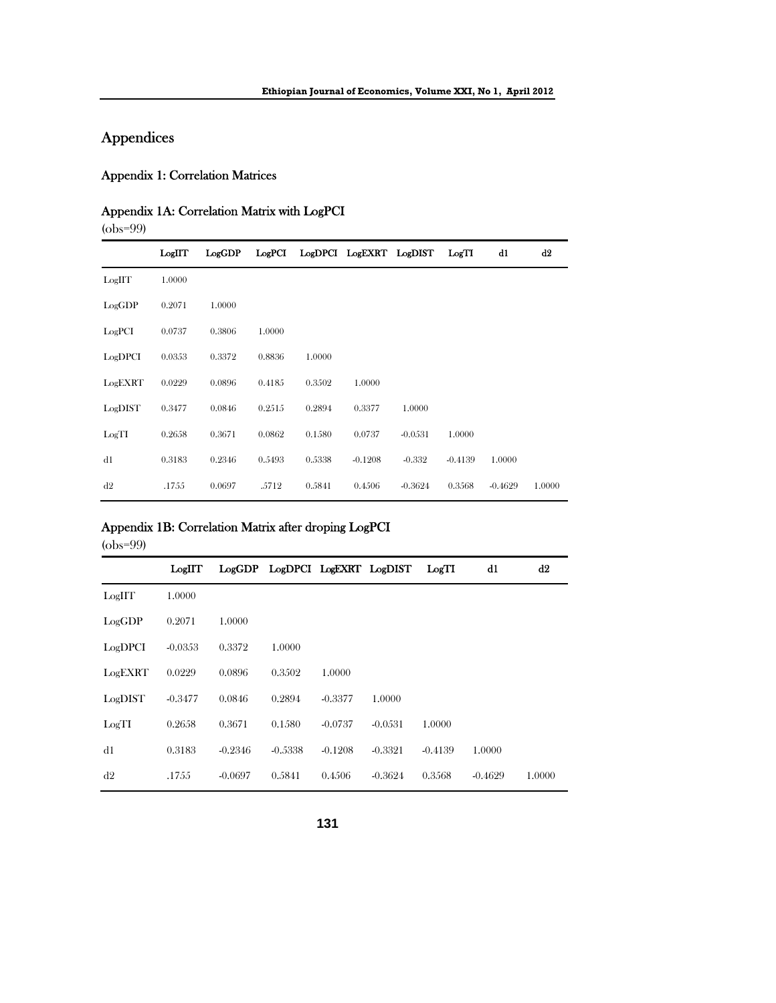# Appendices

## Appendix 1: Correlation Matrices

## Appendix 1A: Correlation Matrix with LogPCI

(obs=99)

|         | LogIIT | LogGDP | Log <sub>PCI</sub> |        | LogDPCI LogEXRT LogDIST |           | Log <sub>II</sub> | d1        | d2     |
|---------|--------|--------|--------------------|--------|-------------------------|-----------|-------------------|-----------|--------|
| LogIIT  | 1.0000 |        |                    |        |                         |           |                   |           |        |
| LogGDP  | 0.2071 | 1.0000 |                    |        |                         |           |                   |           |        |
| LogPCI  | 0.0737 | 0.3806 | 1.0000             |        |                         |           |                   |           |        |
| LogDPCI | 0.0353 | 0.3372 | 0.8836             | 1.0000 |                         |           |                   |           |        |
| LogEXRT | 0.0229 | 0.0896 | 0.4185             | 0.3502 | 1.0000                  |           |                   |           |        |
| LogDIST | 0.3477 | 0.0846 | 0.2515             | 0.2894 | 0.3377                  | 1.0000    |                   |           |        |
| LogTI   | 0.2658 | 0.3671 | 0.0862             | 0.1580 | 0.0737                  | $-0.0531$ | 1.0000            |           |        |
| d1      | 0.3183 | 0.2346 | 0.5493             | 0.5338 | $-0.1208$               | $-0.332$  | $-0.4139$         | 1.0000    |        |
| d2      | .1755  | 0.0697 | .5712              | 0.5841 | 0.4506                  | $-0.3624$ | 0.3568            | $-0.4629$ | 1.0000 |

## Appendix 1B: Correlation Matrix after droping LogPCI

(obs=99)

|         | LogIIT    |           | LogGDP LogDPCI LogEXRT LogDIST |           |           | LogTI     | d1        | d2     |
|---------|-----------|-----------|--------------------------------|-----------|-----------|-----------|-----------|--------|
| LogIIT  | 1.0000    |           |                                |           |           |           |           |        |
| LogGDP  | 0.2071    | 1.0000    |                                |           |           |           |           |        |
| LogDPCI | $-0.0353$ | 0.3372    | 1.0000                         |           |           |           |           |        |
| LogEXRT | 0.0229    | 0.0896    | 0.3502                         | 1.0000    |           |           |           |        |
| LogDIST | $-0.3477$ | 0.0846    | 0.2894                         | $-0.3377$ | 1.0000    |           |           |        |
| LogTI   | 0.2658    | 0.3671    | 0.1580                         | $-0.0737$ | $-0.0531$ | 1.0000    |           |        |
| d1      | 0.3183    | $-0.2346$ | $-0.5338$                      | $-0.1208$ | $-0.3321$ | $-0.4139$ | 1.0000    |        |
| d2      | .1755     | $-0.0697$ | 0.5841                         | 0.4506    | $-0.3624$ | 0.3568    | $-0.4629$ | 1.0000 |